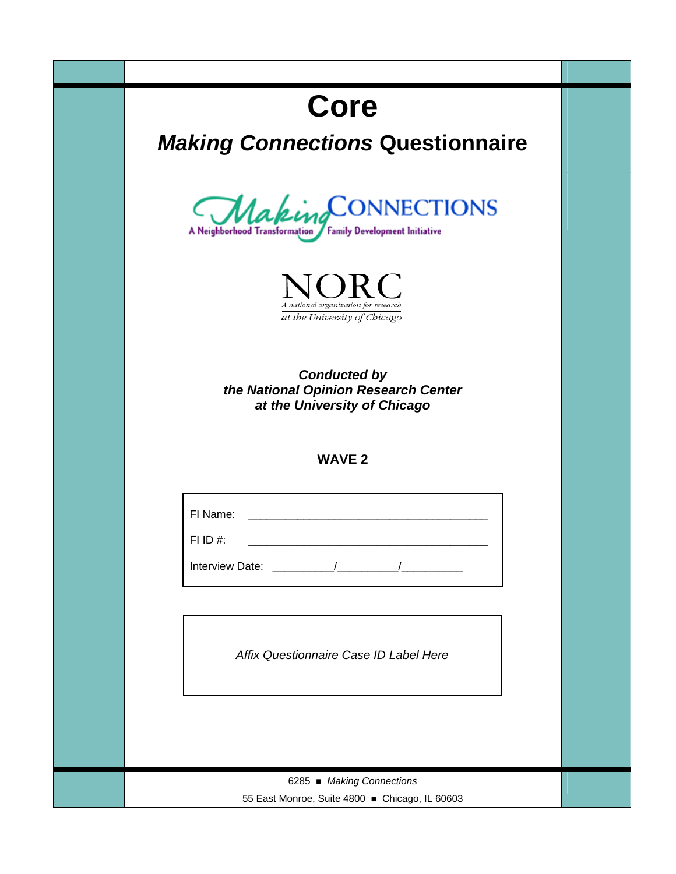| <b>Core</b>                                                                                                                                                                         |  |
|-------------------------------------------------------------------------------------------------------------------------------------------------------------------------------------|--|
| <b>Making Connections Questionnaire</b>                                                                                                                                             |  |
| MakingCONNECTIONS<br>A Neighborhood Transformation Family Development Initiative<br>( ) R<br>$\overline{C}$<br>A national organization for research<br>at the University of Chicago |  |
| <b>Conducted by</b><br>the National Opinion Research Center<br>at the University of Chicago<br><b>WAVE 2</b>                                                                        |  |
| FI Name:<br>FIID#:                                                                                                                                                                  |  |
| Affix Questionnaire Case ID Label Here                                                                                                                                              |  |
|                                                                                                                                                                                     |  |
| 6285 ■ Making Connections<br>55 East Monroe, Suite 4800 Chicago, IL 60603                                                                                                           |  |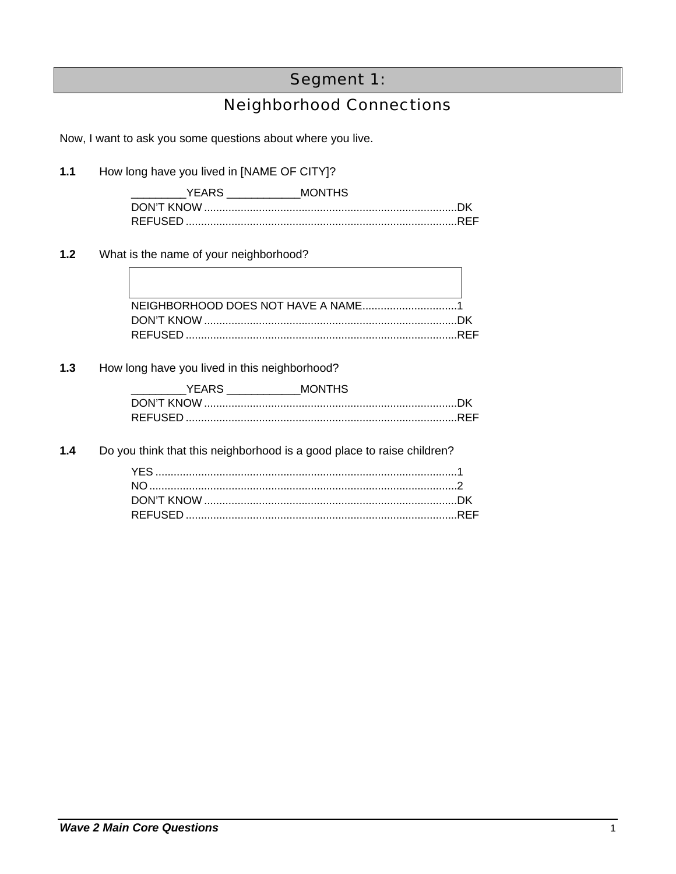# **Segment 1:**

# **Neighborhood Connections**

Now, I want to ask you some questions about where you live.

 $1.1$ How long have you lived in [NAME OF CITY]?

| YLARS   |  |
|---------|--|
|         |  |
| REFUSED |  |

#### $1.2$ What is the name of your neighborhood?

 $1.3$ How long have you lived in this neighborhood?

| YFARS | MONTHS |  |
|-------|--------|--|
|       |        |  |
|       |        |  |

 $1.4$ Do you think that this neighborhood is a good place to raise children?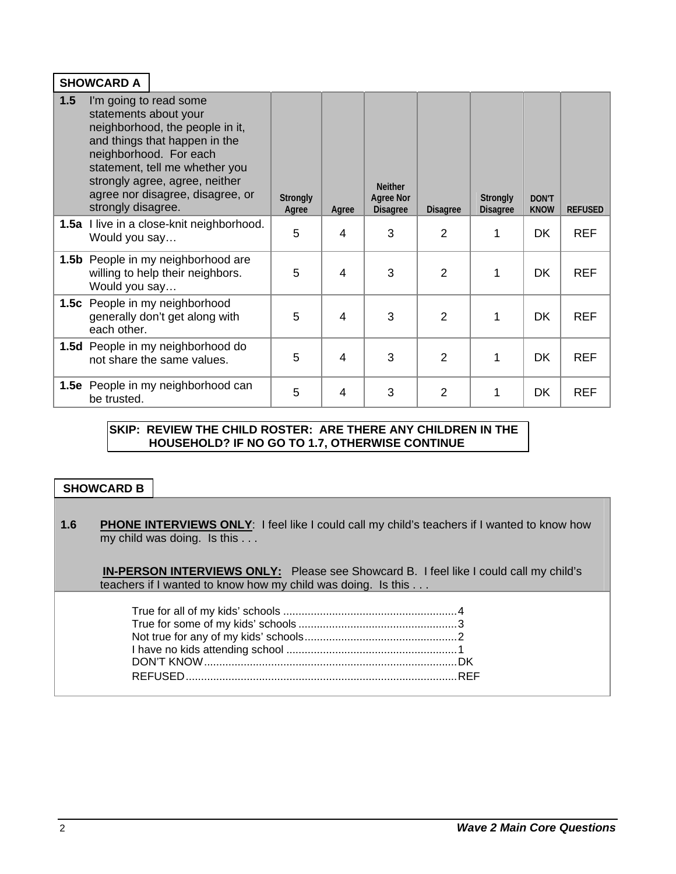|     | <b>SHOWCARD A</b>                                                                                                                                                                                                                                                           |                          |       |                                                       |                 |                                    |                             |                |
|-----|-----------------------------------------------------------------------------------------------------------------------------------------------------------------------------------------------------------------------------------------------------------------------------|--------------------------|-------|-------------------------------------------------------|-----------------|------------------------------------|-----------------------------|----------------|
| 1.5 | I'm going to read some<br>statements about your<br>neighborhood, the people in it,<br>and things that happen in the<br>neighborhood. For each<br>statement, tell me whether you<br>strongly agree, agree, neither<br>agree nor disagree, disagree, or<br>strongly disagree. | <b>Strongly</b><br>Agree | Agree | <b>Neither</b><br><b>Agree Nor</b><br><b>Disagree</b> | <b>Disagree</b> | <b>Strongly</b><br><b>Disagree</b> | <b>DON'T</b><br><b>KNOW</b> | <b>REFUSED</b> |
|     | <b>1.5a</b> I live in a close-knit neighborhood.<br>Would you say                                                                                                                                                                                                           | 5                        | 4     | 3                                                     | $\overline{2}$  | 1                                  | DK.                         | <b>REF</b>     |
|     | 1.5b People in my neighborhood are<br>willing to help their neighbors.<br>Would you say                                                                                                                                                                                     | 5                        | 4     | 3                                                     | $\overline{2}$  | 1                                  | <b>DK</b>                   | <b>REF</b>     |
|     | 1.5c People in my neighborhood<br>generally don't get along with<br>each other.                                                                                                                                                                                             | 5                        | 4     | 3                                                     | $\overline{2}$  | 1                                  | <b>DK</b>                   | <b>REF</b>     |
|     | 1.5d People in my neighborhood do<br>not share the same values.                                                                                                                                                                                                             | 5                        | 4     | 3                                                     | $\overline{2}$  | 1                                  | DK                          | <b>REF</b>     |
|     | <b>1.5e</b> People in my neighborhood can<br>be trusted.                                                                                                                                                                                                                    | 5                        | 4     | 3                                                     | $\overline{2}$  | 1                                  | DK                          | <b>REF</b>     |

## **SKIP: REVIEW THE CHILD ROSTER: ARE THERE ANY CHILDREN IN THE HOUSEHOLD? IF NO GO TO 1.7, OTHERWISE CONTINUE**

## **SHOWCARD B**

**1.6 PHONE INTERVIEWS ONLY**: I feel like I could call my child's teachers if I wanted to know how my child was doing. Is this . . .

**IN-PERSON INTERVIEWS ONLY:** Please see Showcard B. I feel like I could call my child's teachers if I wanted to know how my child was doing. Is this . . .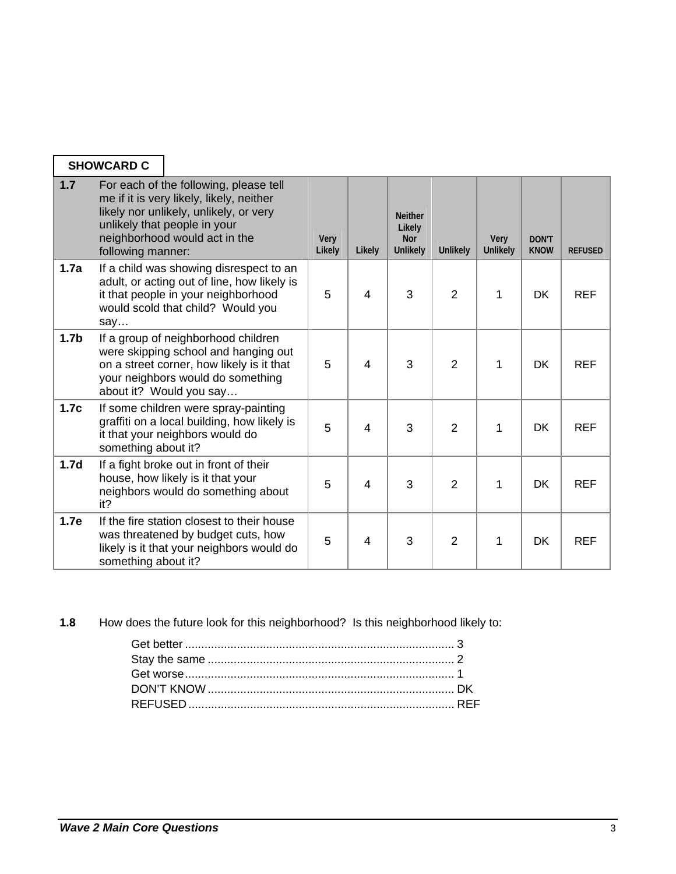|                  | <b>SHOWCARD C</b>                                                                                                                                                                                                  |                       |                |                                                    |                 |                                |                             |                |
|------------------|--------------------------------------------------------------------------------------------------------------------------------------------------------------------------------------------------------------------|-----------------------|----------------|----------------------------------------------------|-----------------|--------------------------------|-----------------------------|----------------|
| 1.7              | For each of the following, please tell<br>me if it is very likely, likely, neither<br>likely nor unlikely, unlikely, or very<br>unlikely that people in your<br>neighborhood would act in the<br>following manner: | <b>Very</b><br>Likely | Likely         | <b>Neither</b><br>Likely<br><b>Nor</b><br>Unlikely | <b>Unlikely</b> | <b>Very</b><br><b>Unlikely</b> | <b>DON'T</b><br><b>KNOW</b> | <b>REFUSED</b> |
| 1.7a             | If a child was showing disrespect to an<br>adult, or acting out of line, how likely is<br>it that people in your neighborhood<br>would scold that child? Would you<br>say                                          | 5                     | $\overline{4}$ | 3                                                  | 2               | 1                              | <b>DK</b>                   | <b>REF</b>     |
| 1.7 <sub>b</sub> | If a group of neighborhood children<br>were skipping school and hanging out<br>on a street corner, how likely is it that<br>your neighbors would do something<br>about it? Would you say                           | 5                     | $\overline{4}$ | 3                                                  | $\overline{2}$  | 1                              | <b>DK</b>                   | <b>REF</b>     |
| 1.7 <sub>c</sub> | If some children were spray-painting<br>graffiti on a local building, how likely is<br>it that your neighbors would do<br>something about it?                                                                      | 5                     | 4              | 3                                                  | $\overline{2}$  | 1                              | <b>DK</b>                   | <b>REF</b>     |
| 1.7 <sub>d</sub> | If a fight broke out in front of their<br>house, how likely is it that your<br>neighbors would do something about<br>it?                                                                                           | 5                     | 4              | 3                                                  | $\overline{2}$  | 1                              | <b>DK</b>                   | <b>REF</b>     |
| 1.7e             | If the fire station closest to their house<br>was threatened by budget cuts, how<br>likely is it that your neighbors would do<br>something about it?                                                               | 5                     | 4              | 3                                                  | $\overline{2}$  | 1                              | <b>DK</b>                   | <b>REF</b>     |

**1.8** How does the future look for this neighborhood? Is this neighborhood likely to: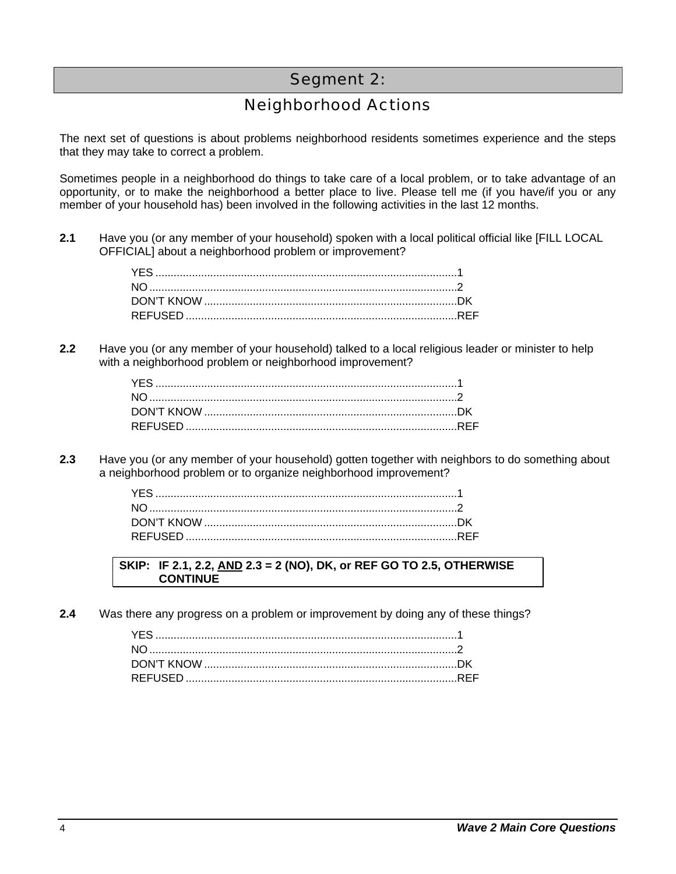# Segment 2:

# Neighborhood Actions

The next set of questions is about problems neighborhood residents sometimes experience and the steps that they may take to correct a problem.

Sometimes people in a neighborhood do things to take care of a local problem, or to take advantage of an opportunity, or to make the neighborhood a better place to live. Please tell me (if you have/if you or any member of your household has) been involved in the following activities in the last 12 months.

**2.1** Have you (or any member of your household) spoken with a local political official like [FILL LOCAL OFFICIAL] about a neighborhood problem or improvement?

**2.2** Have you (or any member of your household) talked to a local religious leader or minister to help with a neighborhood problem or neighborhood improvement?

**2.3** Have you (or any member of your household) gotten together with neighbors to do something about a neighborhood problem or to organize neighborhood improvement?

**SKIP: IF 2.1, 2.2, AND 2.3 = 2 (NO), DK, or REF GO TO 2.5, OTHERWISE CONTINUE** 

**2.4** Was there any progress on a problem or improvement by doing any of these things?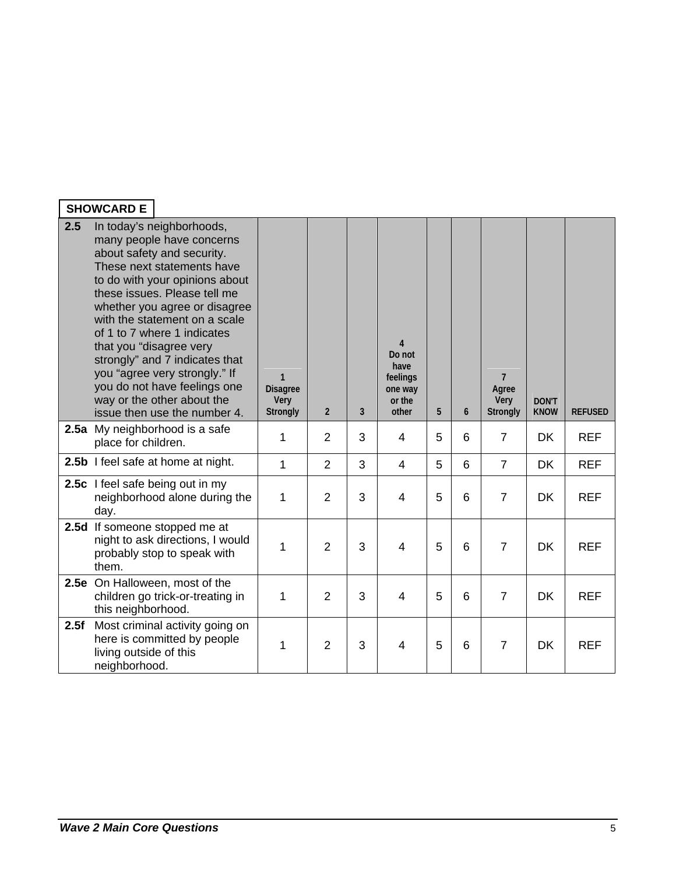|      | <b>SHOWCARD E</b>                                                                                                                                                                                                                                                                                                                                                                                                                                                                 |                                          |                |                |                                                                            |   |   |                                                    |                             |                |
|------|-----------------------------------------------------------------------------------------------------------------------------------------------------------------------------------------------------------------------------------------------------------------------------------------------------------------------------------------------------------------------------------------------------------------------------------------------------------------------------------|------------------------------------------|----------------|----------------|----------------------------------------------------------------------------|---|---|----------------------------------------------------|-----------------------------|----------------|
| 2.5  | In today's neighborhoods,<br>many people have concerns<br>about safety and security.<br>These next statements have<br>to do with your opinions about<br>these issues. Please tell me<br>whether you agree or disagree<br>with the statement on a scale<br>of 1 to 7 where 1 indicates<br>that you "disagree very<br>strongly" and 7 indicates that<br>you "agree very strongly." If<br>you do not have feelings one<br>way or the other about the<br>issue then use the number 4. | 1<br><b>Disagree</b><br>Very<br>Strongly | $\overline{2}$ | $\overline{3}$ | $\overline{4}$<br>Do not<br>have<br>feelings<br>one way<br>or the<br>other | 5 | 6 | $\overline{7}$<br>Agree<br><b>Very</b><br>Strongly | <b>DON'T</b><br><b>KNOW</b> | <b>REFUSED</b> |
|      | 2.5a My neighborhood is a safe<br>place for children.                                                                                                                                                                                                                                                                                                                                                                                                                             | 1                                        | $\overline{2}$ | 3              | 4                                                                          | 5 | 6 | $\overline{7}$                                     | <b>DK</b>                   | <b>REF</b>     |
|      | 2.5b I feel safe at home at night.                                                                                                                                                                                                                                                                                                                                                                                                                                                | 1                                        | $\overline{2}$ | 3              | $\overline{4}$                                                             | 5 | 6 | $\overline{7}$                                     | <b>DK</b>                   | <b>REF</b>     |
|      | 2.5c I feel safe being out in my<br>neighborhood alone during the<br>day.                                                                                                                                                                                                                                                                                                                                                                                                         | 1                                        | $\overline{2}$ | 3              | 4                                                                          | 5 | 6 | $\overline{7}$                                     | <b>DK</b>                   | <b>REF</b>     |
|      | 2.5d If someone stopped me at<br>night to ask directions, I would<br>probably stop to speak with<br>them.                                                                                                                                                                                                                                                                                                                                                                         | 1                                        | $\overline{2}$ | 3              | $\overline{\mathbf{4}}$                                                    | 5 | 6 | $\overline{7}$                                     | <b>DK</b>                   | <b>REF</b>     |
|      | 2.5e On Halloween, most of the<br>children go trick-or-treating in<br>this neighborhood.                                                                                                                                                                                                                                                                                                                                                                                          | 1                                        | $\overline{2}$ | 3              | 4                                                                          | 5 | 6 | $\overline{7}$                                     | <b>DK</b>                   | <b>REF</b>     |
| 2.5f | Most criminal activity going on<br>here is committed by people<br>living outside of this<br>neighborhood.                                                                                                                                                                                                                                                                                                                                                                         | 1                                        | 2              | 3              | 4                                                                          | 5 | 6 | $\overline{7}$                                     | <b>DK</b>                   | <b>REF</b>     |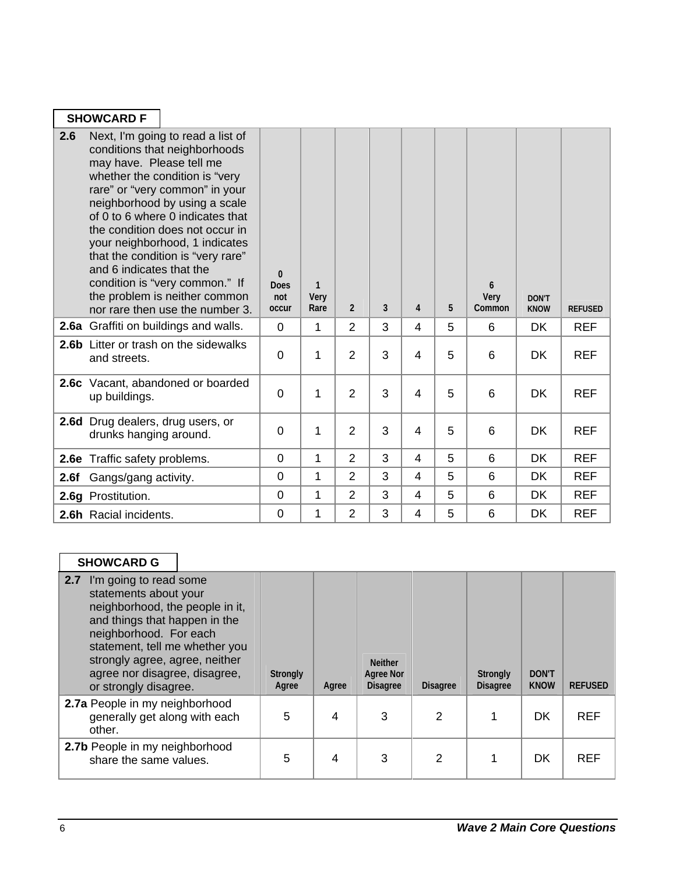|      | <b>SHOWCARD F</b>                                                                                                                                                                                                                                                                                                                                                                                                                                                                   |                                         |                              |                |   |                |   |                     |                      |                |
|------|-------------------------------------------------------------------------------------------------------------------------------------------------------------------------------------------------------------------------------------------------------------------------------------------------------------------------------------------------------------------------------------------------------------------------------------------------------------------------------------|-----------------------------------------|------------------------------|----------------|---|----------------|---|---------------------|----------------------|----------------|
| 2.6  | Next, I'm going to read a list of<br>conditions that neighborhoods<br>may have. Please tell me<br>whether the condition is "very<br>rare" or "very common" in your<br>neighborhood by using a scale<br>of 0 to 6 where 0 indicates that<br>the condition does not occur in<br>your neighborhood, 1 indicates<br>that the condition is "very rare"<br>and 6 indicates that the<br>condition is "very common." If<br>the problem is neither common<br>nor rare then use the number 3. | $\Omega$<br><b>Does</b><br>not<br>occur | $\mathbf{1}$<br>Very<br>Rare | $\overline{2}$ | 3 | $\overline{4}$ | 5 | 6<br>Very<br>Common | DON'T<br><b>KNOW</b> | <b>REFUSED</b> |
|      | 2.6a Graffiti on buildings and walls.                                                                                                                                                                                                                                                                                                                                                                                                                                               | $\mathbf 0$                             | 1                            | $\overline{2}$ | 3 | 4              | 5 | 6                   | <b>DK</b>            | <b>REF</b>     |
|      | 2.6b Litter or trash on the sidewalks<br>and streets.                                                                                                                                                                                                                                                                                                                                                                                                                               | 0                                       | 1                            | $\overline{2}$ | 3 | 4              | 5 | 6                   | <b>DK</b>            | <b>REF</b>     |
|      | 2.6c Vacant, abandoned or boarded<br>up buildings.                                                                                                                                                                                                                                                                                                                                                                                                                                  | 0                                       | 1                            | $\overline{2}$ | 3 | 4              | 5 | 6                   | <b>DK</b>            | <b>REF</b>     |
|      | 2.6d Drug dealers, drug users, or<br>drunks hanging around.                                                                                                                                                                                                                                                                                                                                                                                                                         | 0                                       | 1                            | $\overline{2}$ | 3 | 4              | 5 | 6                   | <b>DK</b>            | <b>REF</b>     |
|      | 2.6e Traffic safety problems.                                                                                                                                                                                                                                                                                                                                                                                                                                                       | $\overline{0}$                          | 1                            | $\overline{2}$ | 3 | 4              | 5 | 6                   | <b>DK</b>            | <b>REF</b>     |
| 2.6f | Gangs/gang activity.                                                                                                                                                                                                                                                                                                                                                                                                                                                                | 0                                       | 1                            | $\overline{2}$ | 3 | 4              | 5 | 6                   | <b>DK</b>            | <b>REF</b>     |
|      | 2.6g Prostitution.                                                                                                                                                                                                                                                                                                                                                                                                                                                                  | 0                                       | 1                            | $\overline{2}$ | 3 | 4              | 5 | 6                   | <b>DK</b>            | <b>REF</b>     |
|      | 2.6h Racial incidents.                                                                                                                                                                                                                                                                                                                                                                                                                                                              | $\mathbf 0$                             | 1                            | $\overline{2}$ | 3 | 4              | 5 | 6                   | <b>DK</b>            | <b>REF</b>     |

| <b>SHOWCARD G</b>                                                                                                                                                                                                                                                               |                          |       |                                                       |                 |                                    |                      |                |
|---------------------------------------------------------------------------------------------------------------------------------------------------------------------------------------------------------------------------------------------------------------------------------|--------------------------|-------|-------------------------------------------------------|-----------------|------------------------------------|----------------------|----------------|
| 2.7 I'm going to read some<br>statements about your<br>neighborhood, the people in it,<br>and things that happen in the<br>neighborhood. For each<br>statement, tell me whether you<br>strongly agree, agree, neither<br>agree nor disagree, disagree,<br>or strongly disagree. | <b>Strongly</b><br>Agree | Agree | <b>Neither</b><br><b>Agree Nor</b><br><b>Disagree</b> | <b>Disagree</b> | <b>Strongly</b><br><b>Disagree</b> | DON'T<br><b>KNOW</b> | <b>REFUSED</b> |
| 2.7a People in my neighborhood<br>generally get along with each<br>other.                                                                                                                                                                                                       | 5                        | 4     | 3                                                     | $\mathcal{P}$   |                                    | <b>DK</b>            | <b>REF</b>     |
| 2.7b People in my neighborhood<br>share the same values.                                                                                                                                                                                                                        | 5                        | 4     | 3                                                     | $\mathcal{P}$   |                                    | DK                   | <b>REF</b>     |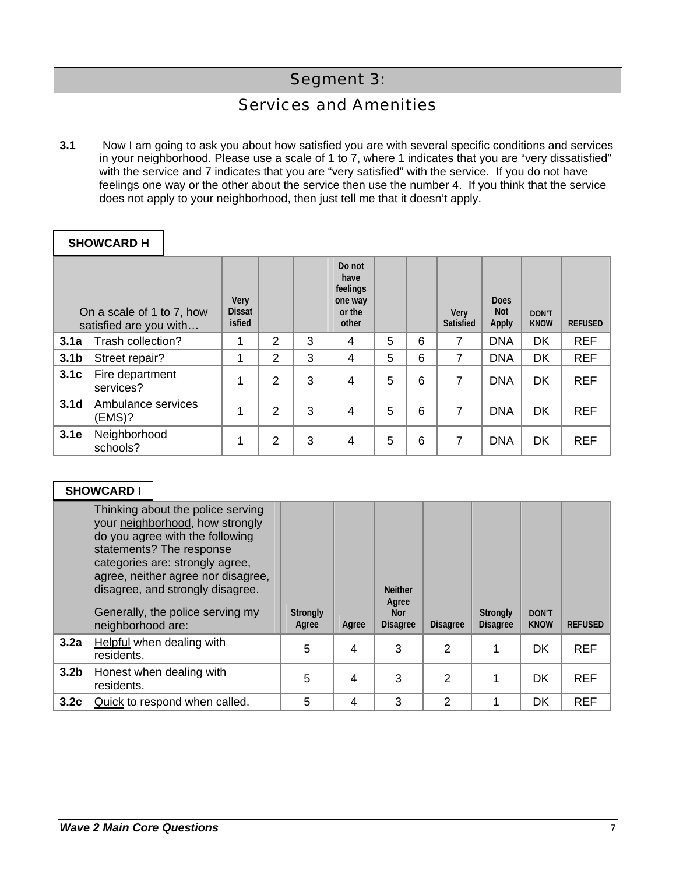# Segment 3:

# Services and Amenities

**3.1** Now I am going to ask you about how satisfied you are with several specific conditions and services in your neighborhood. Please use a scale of 1 to 7, where 1 indicates that you are "very dissatisfied" with the service and 7 indicates that you are "very satisfied" with the service. If you do not have feelings one way or the other about the service then use the number 4. If you think that the service does not apply to your neighborhood, then just tell me that it doesn't apply.

|                  | <b>SHOWCARD H</b>                                   |                                               |                |   |                                                          |   |   |                          |                                           |                      |                |
|------------------|-----------------------------------------------------|-----------------------------------------------|----------------|---|----------------------------------------------------------|---|---|--------------------------|-------------------------------------------|----------------------|----------------|
|                  | On a scale of 1 to 7, how<br>satisfied are you with | <b>Very</b><br><b>Dissat</b><br><b>isfied</b> |                |   | Do not<br>have<br>feelings<br>one way<br>or the<br>other |   |   | <b>Very</b><br>Satisfied | <b>Does</b><br><b>Not</b><br><b>Apply</b> | DON'T<br><b>KNOW</b> | <b>REFUSED</b> |
| 3.1a             | Trash collection?                                   | 1                                             | 2              | 3 | 4                                                        | 5 | 6 | 7                        | <b>DNA</b>                                | <b>DK</b>            | <b>REF</b>     |
| 3.1 <sub>b</sub> | Street repair?                                      | 1                                             | $\overline{2}$ | 3 | 4                                                        | 5 | 6 | 7                        | <b>DNA</b>                                | DK                   | <b>REF</b>     |
| 3.1c             | Fire department<br>services?                        | 1                                             | $\overline{2}$ | 3 | 4                                                        | 5 | 6 | $\overline{7}$           | <b>DNA</b>                                | <b>DK</b>            | <b>REF</b>     |
| 3.1 <sub>d</sub> | Ambulance services<br>(EMS)?                        | 1                                             | $\overline{2}$ | 3 | 4                                                        | 5 | 6 | 7                        | <b>DNA</b>                                | <b>DK</b>            | <b>REF</b>     |
| 3.1e             | Neighborhood<br>schools?                            | 1                                             | $\overline{2}$ | 3 | 4                                                        | 5 | 6 | 7                        | <b>DNA</b>                                | <b>DK</b>            | <b>REF</b>     |

# **SHOWCARD I**

|                  | Thinking about the police serving<br>your neighborhood, how strongly<br>do you agree with the following<br>statements? The response<br>categories are: strongly agree,<br>agree, neither agree nor disagree,<br>disagree, and strongly disagree.<br>Generally, the police serving my<br>neighborhood are: | <b>Strongly</b><br>Agree | Agree | <b>Neither</b><br>Agree<br><b>Nor</b><br><b>Disagree</b> | <b>Disagree</b> | <b>Strongly</b><br><b>Disagree</b> | <b>DON'T</b><br><b>KNOW</b> | <b>REFUSED</b> |
|------------------|-----------------------------------------------------------------------------------------------------------------------------------------------------------------------------------------------------------------------------------------------------------------------------------------------------------|--------------------------|-------|----------------------------------------------------------|-----------------|------------------------------------|-----------------------------|----------------|
| 3.2a             | <b>Helpful</b> when dealing with<br>residents.                                                                                                                                                                                                                                                            | 5                        | 4     | 3                                                        | 2               |                                    | DK                          | <b>REF</b>     |
| 3.2 <sub>b</sub> | Honest when dealing with<br>residents.                                                                                                                                                                                                                                                                    | 5                        | 4     | 3                                                        | 2               |                                    | DK                          | <b>REF</b>     |
| 3.2 <sub>c</sub> | Quick to respond when called.                                                                                                                                                                                                                                                                             | 5                        | 4     | 3                                                        | $\overline{2}$  |                                    | <b>DK</b>                   | <b>REF</b>     |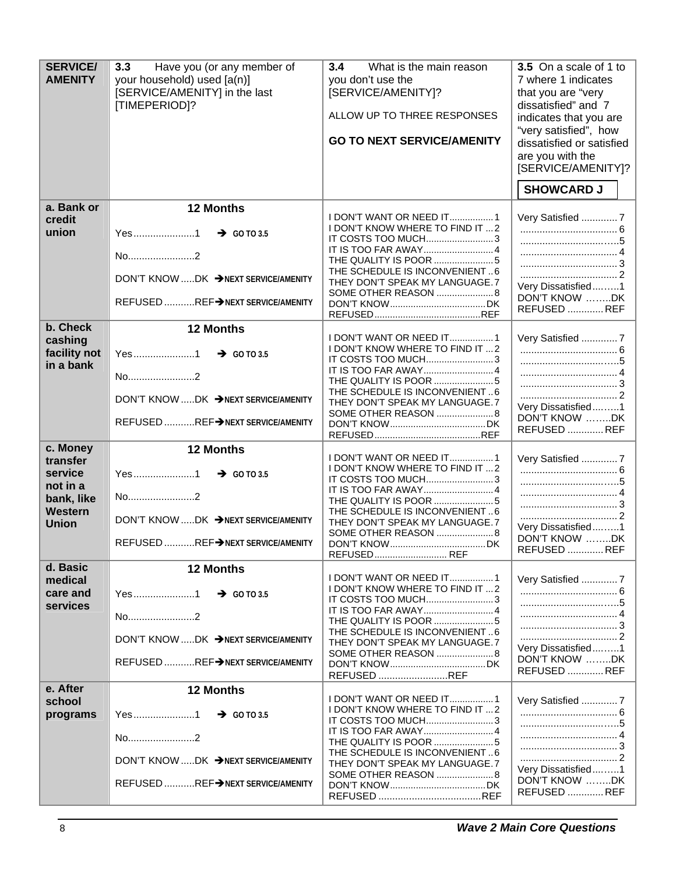| <b>SERVICE/</b><br><b>AMENITY</b> | 3.3<br>Have you (or any member of<br>your household) used [a(n)]<br>[SERVICE/AMENITY] in the last<br>[TIMEPERIOD]? | 3.4<br>What is the main reason<br>you don't use the<br>[SERVICE/AMENITY]?<br>ALLOW UP TO THREE RESPONSES<br><b>GO TO NEXT SERVICE/AMENITY</b> | 3.5 On a scale of 1 to<br>7 where 1 indicates<br>that you are "very<br>dissatisfied" and 7<br>indicates that you are<br>"very satisfied", how<br>dissatisfied or satisfied<br>are you with the<br>[SERVICE/AMENITY]?<br><b>SHOWCARD J</b> |
|-----------------------------------|--------------------------------------------------------------------------------------------------------------------|-----------------------------------------------------------------------------------------------------------------------------------------------|-------------------------------------------------------------------------------------------------------------------------------------------------------------------------------------------------------------------------------------------|
| a. Bank or                        |                                                                                                                    |                                                                                                                                               |                                                                                                                                                                                                                                           |
| credit                            | 12 Months                                                                                                          | I DON'T WANT OR NEED IT1                                                                                                                      | Very Satisfied  7                                                                                                                                                                                                                         |
| union                             | Yes1<br>$\rightarrow$ GO TO 3.5                                                                                    | I DON'T KNOW WHERE TO FIND IT  2<br>IT COSTS TOO MUCH3                                                                                        |                                                                                                                                                                                                                                           |
|                                   | No2                                                                                                                | IT IS TOO FAR AWAY4                                                                                                                           |                                                                                                                                                                                                                                           |
|                                   |                                                                                                                    | THE SCHEDULE IS INCONVENIENT6                                                                                                                 |                                                                                                                                                                                                                                           |
|                                   | <b>DON'T KNOW  DK → NEXT SERVICE/AMENITY</b>                                                                       | THEY DON'T SPEAK MY LANGUAGE.7                                                                                                                | Very Dissatisfied1                                                                                                                                                                                                                        |
|                                   | REFUSED REF→NEXT SERVICE/AMENITY                                                                                   | SOME OTHER REASON  8                                                                                                                          | DON'T KNOW DK<br><b>REFUSED  REF</b>                                                                                                                                                                                                      |
| b. Check                          | 12 Months                                                                                                          | I DON'T WANT OR NEED IT1                                                                                                                      | Very Satisfied  7                                                                                                                                                                                                                         |
| cashing<br>facility not           | Yes1<br>$\rightarrow$ GO TO 3.5                                                                                    | I DON'T KNOW WHERE TO FIND IT  2                                                                                                              |                                                                                                                                                                                                                                           |
| in a bank                         |                                                                                                                    | IT COSTS TOO MUCH3<br>IT IS TOO FAR AWAY4                                                                                                     |                                                                                                                                                                                                                                           |
|                                   | No2                                                                                                                | THE SCHEDULE IS INCONVENIENT6                                                                                                                 |                                                                                                                                                                                                                                           |
|                                   | <b>DON'T KNOW  DK → NEXT SERVICE/AMENITY</b>                                                                       | THEY DON'T SPEAK MY LANGUAGE.7                                                                                                                | Very Dissatisfied1                                                                                                                                                                                                                        |
|                                   | REFUSED REF→NEXT SERVICE/AMENITY                                                                                   | SOME OTHER REASON  8                                                                                                                          | DON'T KNOW DK                                                                                                                                                                                                                             |
|                                   |                                                                                                                    |                                                                                                                                               | REFUSED REF                                                                                                                                                                                                                               |
| c. Money<br>transfer              | 12 Months                                                                                                          | I DON'T WANT OR NEED IT1                                                                                                                      | Very Satisfied  7                                                                                                                                                                                                                         |
| service                           | Yes1<br>$\rightarrow$ GO TO 3.5                                                                                    | I DON'T KNOW WHERE TO FIND IT  2<br>IT COSTS TOO MUCH3                                                                                        |                                                                                                                                                                                                                                           |
| not in a<br>bank, like            | No2                                                                                                                | IT IS TOO FAR AWAY4                                                                                                                           |                                                                                                                                                                                                                                           |
| Western                           |                                                                                                                    | THE SCHEDULE IS INCONVENIENT6                                                                                                                 |                                                                                                                                                                                                                                           |
| <b>Union</b>                      | DON'T KNOW DK → NEXT SERVICE/AMENITY                                                                               | THEY DON'T SPEAK MY LANGUAGE.7                                                                                                                | Very Dissatisfied1                                                                                                                                                                                                                        |
|                                   | REFUSED REF→NEXT SERVICE/AMENITY                                                                                   |                                                                                                                                               | DON'T KNOW DK<br>REFUSED REF                                                                                                                                                                                                              |
| d. Basic                          | 12 Months                                                                                                          | REFUSED REF                                                                                                                                   |                                                                                                                                                                                                                                           |
| medical                           |                                                                                                                    | I DON'T WANT OR NEED IT1<br>I DON'T KNOW WHERE TO FIND IT  2                                                                                  | Very Satisfied  7                                                                                                                                                                                                                         |
| care and<br>services              | Yes1<br>$\rightarrow$ GO TO 3.5                                                                                    | IT COSTS TOO MUCH3                                                                                                                            |                                                                                                                                                                                                                                           |
|                                   | No2                                                                                                                |                                                                                                                                               |                                                                                                                                                                                                                                           |
|                                   | <b>DON'T KNOW DK → NEXT SERVICE/AMENITY</b>                                                                        | THE SCHEDULE IS INCONVENIENT6<br>THEY DON'T SPEAK MY LANGUAGE.7                                                                               |                                                                                                                                                                                                                                           |
|                                   | REFUSED REF→NEXT SERVICE/AMENITY                                                                                   | SOME OTHER REASON  8                                                                                                                          | Very Dissatisfied1<br>DON'T KNOW DK                                                                                                                                                                                                       |
|                                   |                                                                                                                    | REFUSED REF                                                                                                                                   | REFUSED REF                                                                                                                                                                                                                               |
| e. After                          | 12 Months                                                                                                          | I DON'T WANT OR NEED IT1                                                                                                                      |                                                                                                                                                                                                                                           |
| school<br>programs                | Yes1<br>$\rightarrow$ GO TO 3.5                                                                                    | I DON'T KNOW WHERE TO FIND IT  2                                                                                                              | Very Satisfied  7                                                                                                                                                                                                                         |
|                                   |                                                                                                                    | IT COSTS TOO MUCH3                                                                                                                            |                                                                                                                                                                                                                                           |
|                                   | No2                                                                                                                |                                                                                                                                               |                                                                                                                                                                                                                                           |
|                                   | <b>DON'T KNOW  DK → NEXT SERVICE/AMENITY</b>                                                                       | THE SCHEDULE IS INCONVENIENT6<br>THEY DON'T SPEAK MY LANGUAGE.7                                                                               | Very Dissatisfied1                                                                                                                                                                                                                        |
|                                   |                                                                                                                    | SOME OTHER REASON  8                                                                                                                          |                                                                                                                                                                                                                                           |
|                                   | REFUSED REF→NEXT SERVICE/AMENITY                                                                                   |                                                                                                                                               | DON'T KNOW DK<br>REFUSED REF                                                                                                                                                                                                              |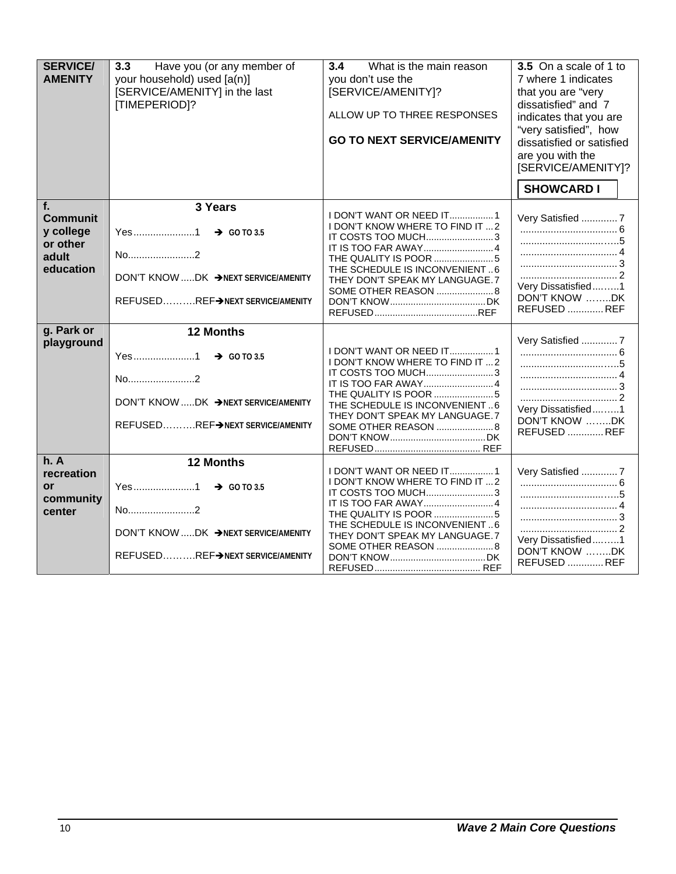| <b>SERVICE/</b><br><b>AMENITY</b>                                    | 3.3<br>Have you (or any member of<br>your household) used [a(n)]<br>[SERVICE/AMENITY] in the last<br>[TIMEPERIOD]?                    | 3.4<br>What is the main reason<br>you don't use the<br>[SERVICE/AMENITY]?<br>ALLOW UP TO THREE RESPONSES<br><b>GO TO NEXT SERVICE/AMENITY</b>                                                          | 3.5 On a scale of 1 to<br>7 where 1 indicates<br>that you are "very<br>dissatisfied" and 7<br>indicates that you are<br>"very satisfied", how<br>dissatisfied or satisfied<br>are you with the<br>[SERVICE/AMENITY]?<br><b>SHOWCARD I</b> |
|----------------------------------------------------------------------|---------------------------------------------------------------------------------------------------------------------------------------|--------------------------------------------------------------------------------------------------------------------------------------------------------------------------------------------------------|-------------------------------------------------------------------------------------------------------------------------------------------------------------------------------------------------------------------------------------------|
| f.<br><b>Communit</b><br>y college<br>or other<br>adult<br>education | 3 Years<br>Yes1<br>$\rightarrow$ GO TO 3.5<br>No2<br><b>DON'T KNOW  DK → NEXT SERVICE/AMENITY</b><br>REFUSEDREF→NEXT SERVICE/AMENITY  | I DON'T WANT OR NEED IT1<br><b>I DON'T KNOW WHERE TO FIND IT  2</b><br>IT COSTS TOO MUCH3<br>THE SCHEDULE IS INCONVENIENT6<br>THEY DON'T SPEAK MY LANGUAGE. 7<br>SOME OTHER REASON  8                  | Very Satisfied  7<br>Very Dissatisfied1<br>DON'T KNOW DK<br>REFUSED REF                                                                                                                                                                   |
| g. Park or<br>playground                                             | 12 Months<br>No2<br><b>DON'T KNOW DK → NEXT SERVICE/AMENITY</b><br>REFUSEDREF→NEXT SERVICE/AMENITY                                    | I DON'T WANT OR NEED IT1<br>I DON'T KNOW WHERE TO FIND IT  2<br>IT COSTS TOO MUCH3<br>THE QUALITY IS POOR 5<br>THE SCHEDULE IS INCONVENIENT6<br>THEY DON'T SPEAK MY LANGUAGE.7<br>SOME OTHER REASON  8 | Very Satisfied  7<br>Very Dissatisfied1<br>DON'T KNOW DK<br><b>REFUSED  REF</b>                                                                                                                                                           |
| h. A<br>recreation<br>or<br>community<br>center                      | 12 Months<br>Yes1<br>$\rightarrow$ GO TO 3.5<br>No2<br><b>DON'T KNOW DK → NEXT SERVICE/AMENITY</b><br>REFUSEDREF→NEXT SERVICE/AMENITY | I DON'T WANT OR NEED IT1<br>I DON'T KNOW WHERE TO FIND IT  2<br>IT COSTS TOO MUCH3<br>IT IS TOO FAR AWAY4<br>THE SCHEDULE IS INCONVENIENT6<br>THEY DON'T SPEAK MY LANGUAGE.7<br>SOME OTHER REASON  8   | Very Satisfied  7<br>Very Dissatisfied1<br>DON'T KNOW DK<br>REFUSED REF                                                                                                                                                                   |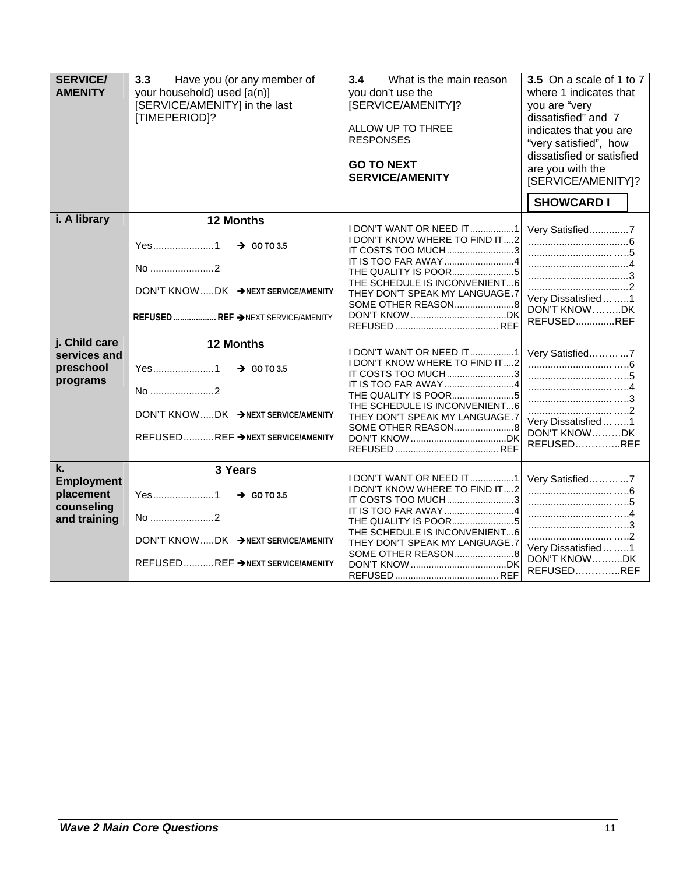| <b>SERVICE/</b><br><b>AMENITY</b>            | 3.3<br>Have you (or any member of<br>your household) used [a(n)]<br>[SERVICE/AMENITY] in the last<br>[TIMEPERIOD]? | What is the main reason<br>3.4<br>you don't use the<br>[SERVICE/AMENITY]?<br>ALLOW UP TO THREE<br><b>RESPONSES</b><br><b>GO TO NEXT</b><br><b>SERVICE/AMENITY</b> | 3.5 On a scale of 1 to 7<br>where 1 indicates that<br>you are "very<br>dissatisfied" and 7<br>indicates that you are<br>"very satisfied", how<br>dissatisfied or satisfied<br>are you with the<br>[SERVICE/AMENITY]?<br><b>SHOWCARD I</b> |
|----------------------------------------------|--------------------------------------------------------------------------------------------------------------------|-------------------------------------------------------------------------------------------------------------------------------------------------------------------|-------------------------------------------------------------------------------------------------------------------------------------------------------------------------------------------------------------------------------------------|
| i. A library                                 | 12 Months                                                                                                          | I DON'T WANT OR NEED IT1                                                                                                                                          | Very Satisfied7                                                                                                                                                                                                                           |
|                                              | Yes1<br>$\rightarrow$ GO TO 3.5                                                                                    | <b>I DON'T KNOW WHERE TO FIND IT2</b><br>IT COSTS TOO MUCH3                                                                                                       |                                                                                                                                                                                                                                           |
|                                              | No 2                                                                                                               | IT IS TOO FAR AWAY4<br>THE QUALITY IS POOR5                                                                                                                       |                                                                                                                                                                                                                                           |
|                                              | <b>DON'T KNOW  DK → NEXT SERVICE/AMENITY</b>                                                                       | THE SCHEDULE IS INCONVENIENT6<br>THEY DON'T SPEAK MY LANGUAGE.7<br>SOME OTHER REASON8                                                                             | Very Dissatisfied  1                                                                                                                                                                                                                      |
|                                              | REFUSED  REF WHEXT SERVICE/AMENITY                                                                                 |                                                                                                                                                                   | DON'T KNOWDK<br>REFUSEDREF                                                                                                                                                                                                                |
| j. Child care                                | 12 Months                                                                                                          | I DON'T WANT OR NEED IT1                                                                                                                                          |                                                                                                                                                                                                                                           |
| services and<br>preschool<br>programs        | Yes1<br>$\rightarrow$ GO TO 3.5                                                                                    | <b>I DON'T KNOW WHERE TO FIND IT2</b><br>IT COSTS TOO MUCH3<br>IT IS TOO FAR AWAY4                                                                                | Very Satisfied7                                                                                                                                                                                                                           |
|                                              | No 2                                                                                                               |                                                                                                                                                                   |                                                                                                                                                                                                                                           |
|                                              | DON'T KNOW  DK → NEXT SERVICE/AMENITY                                                                              | THE SCHEDULE IS INCONVENIENT6<br>THEY DON'T SPEAK MY LANGUAGE.7                                                                                                   | Very Dissatisfied  1                                                                                                                                                                                                                      |
|                                              | REFUSED REF → NEXT SERVICE/AMENITY                                                                                 | SOME OTHER REASON8                                                                                                                                                | DON'T KNOWDK<br>REFUSEDREF                                                                                                                                                                                                                |
| $\mathbf k$                                  | 3 Years                                                                                                            | I DON'T WANT OR NEED IT1                                                                                                                                          | Very Satisfied7                                                                                                                                                                                                                           |
| <b>Employment</b><br>placement<br>counseling | Yes1<br>$\rightarrow$ GO TO 3.5                                                                                    | I DON'T KNOW WHERE TO FIND IT2<br>IT COSTS TOO MUCH3<br>IT IS TOO FAR AWAY4                                                                                       |                                                                                                                                                                                                                                           |
| and training                                 | No 2                                                                                                               | THE QUALITY IS POOR5                                                                                                                                              |                                                                                                                                                                                                                                           |
|                                              | DON'T KNOW  DK → NEXT SERVICE/AMENITY                                                                              | THE SCHEDULE IS INCONVENIENT6<br>THEY DON'T SPEAK MY LANGUAGE.7<br>SOME OTHER REASON8                                                                             | Very Dissatisfied  1                                                                                                                                                                                                                      |
|                                              | REFUSED REF → NEXT SERVICE/AMENITY                                                                                 |                                                                                                                                                                   | DON'T KNOWDK<br>REFUSEDREF                                                                                                                                                                                                                |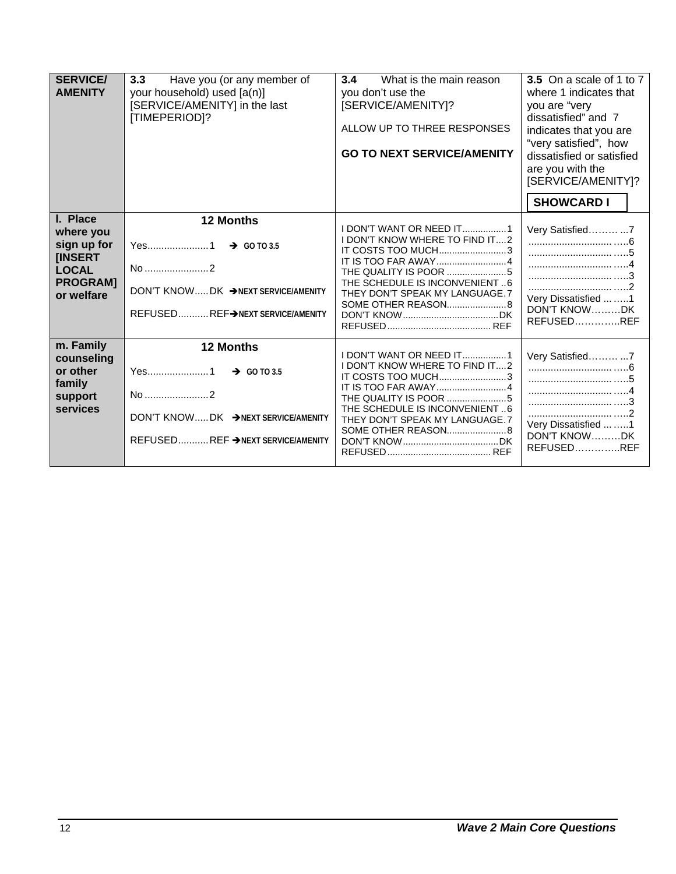| <b>SERVICE/</b><br><b>AMENITY</b>                                                                       | Have you (or any member of<br>3.3<br>your household) used [a(n)]<br>[SERVICE/AMENITY] in the last<br>[TIMEPERIOD]? | What is the main reason<br>3.4<br>you don't use the<br>[SERVICE/AMENITY]?<br>ALLOW UP TO THREE RESPONSES<br><b>GO TO NEXT SERVICE/AMENITY</b>                                                           | 3.5 On a scale of 1 to 7<br>where 1 indicates that<br>you are "very<br>dissatisfied" and 7<br>indicates that you are<br>"very satisfied", how<br>dissatisfied or satisfied<br>are you with the<br>[SERVICE/AMENITY]?<br><b>SHOWCARD I</b> |
|---------------------------------------------------------------------------------------------------------|--------------------------------------------------------------------------------------------------------------------|---------------------------------------------------------------------------------------------------------------------------------------------------------------------------------------------------------|-------------------------------------------------------------------------------------------------------------------------------------------------------------------------------------------------------------------------------------------|
| I. Place<br>where you<br>sign up for<br><b>[INSERT</b><br><b>LOCAL</b><br><b>PROGRAM]</b><br>or welfare | <b>12 Months</b><br>No 2<br><b>DON'T KNOWDK →NEXT SERVICE/AMENITY</b><br>REFUSEDREF→NEXT SERVICE/AMENITY           | I DON'T WANT OR NEED IT1<br><b>I DON'T KNOW WHERE TO FIND IT2</b><br>IT COSTS TOO MUCH3<br>THE SCHEDULE IS INCONVENIENT6<br>THEY DON'T SPEAK MY LANGUAGE.7<br>SOME OTHER REASON8                        | Very Satisfied7<br>Very Dissatisfied  1<br>DON'T KNOWDK<br>REFUSEDREF                                                                                                                                                                     |
| m. Family<br>counseling<br>or other<br>family<br>support<br>services                                    | 12 Months<br>No 2<br>DON'T KNOWDK → NEXT SERVICE/AMENITY<br>REFUSEDREF→NEXT SERVICE/AMENITY                        | I DON'T WANT OR NEED IT1<br><b>I DON'T KNOW WHERE TO FIND IT2</b><br>IT COSTS TOO MUCH3<br>IT IS TOO FAR AWAY4<br>THE SCHEDULE IS INCONVENIENT6<br>THEY DON'T SPEAK MY LANGUAGE.7<br>SOME OTHER REASON8 | Very Satisfied7<br>Very Dissatisfied  1<br>DON'T KNOWDK<br><b>REFUSEDREF</b>                                                                                                                                                              |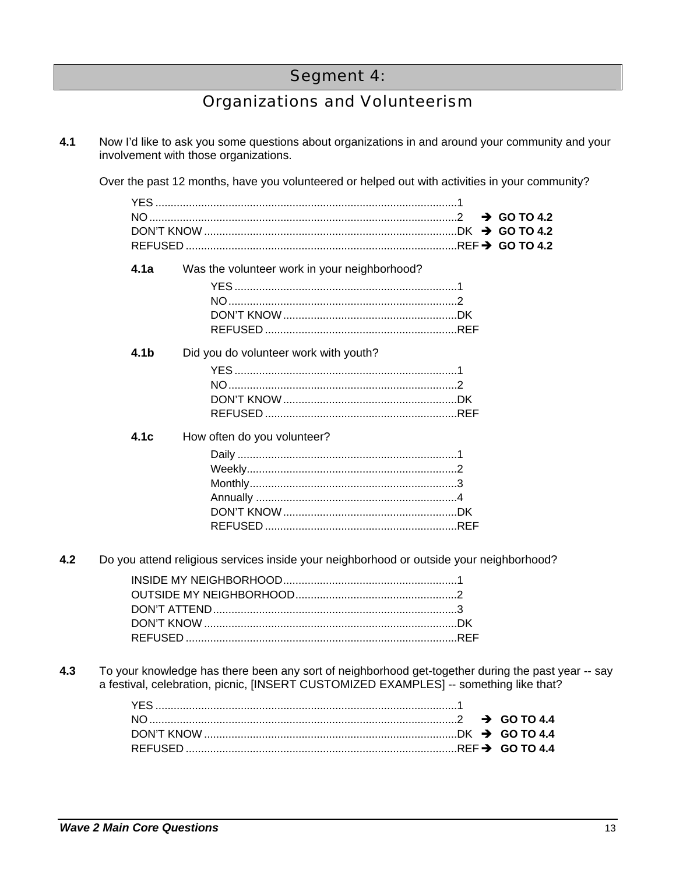# **Segment 4:**

# **Organizations and Volunteerism**

 $4.1$ Now I'd like to ask you some questions about organizations in and around your community and your involvement with those organizations.

Over the past 12 months, have you volunteered or helped out with activities in your community?

|      |                                              |  | $\rightarrow$ GO TO 4.2 |
|------|----------------------------------------------|--|-------------------------|
|      |                                              |  |                         |
|      |                                              |  |                         |
| 4.1a | Was the volunteer work in your neighborhood? |  |                         |
|      |                                              |  |                         |
|      |                                              |  |                         |
|      |                                              |  |                         |
|      |                                              |  |                         |
| 4.1b | Did you do volunteer work with youth?        |  |                         |
|      |                                              |  |                         |
|      |                                              |  |                         |
|      |                                              |  |                         |
|      |                                              |  |                         |
| 4.1c | How often do you volunteer?                  |  |                         |
|      |                                              |  |                         |
|      |                                              |  |                         |
|      |                                              |  |                         |
|      |                                              |  |                         |
|      |                                              |  |                         |
|      |                                              |  |                         |

 $4.2$ Do you attend religious services inside your neighborhood or outside your neighborhood?

4.3 To your knowledge has there been any sort of neighborhood get-together during the past year -- say a festival, celebration, picnic, [INSERT CUSTOMIZED EXAMPLES] -- something like that?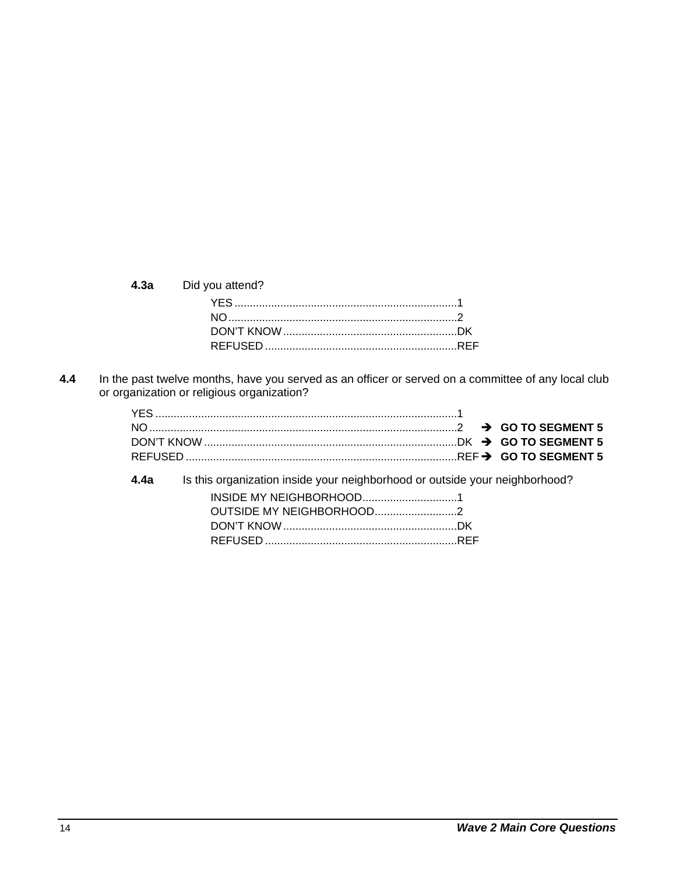## **4.3a** Did you attend?

**4.4** In the past twelve months, have you served as an officer or served on a committee of any local club or organization or religious organization?

**4.4a** Is this organization inside your neighborhood or outside your neighborhood?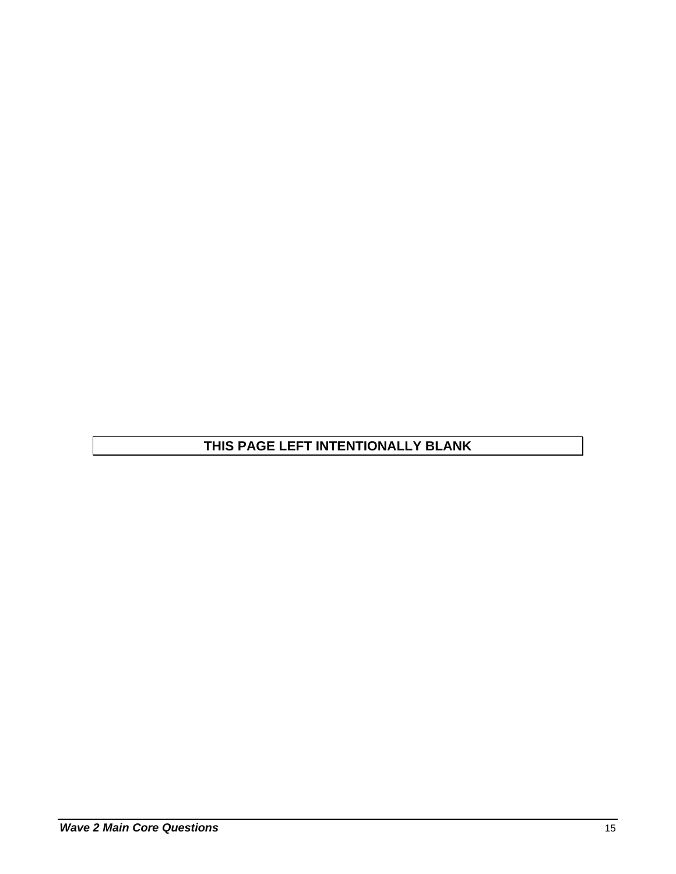# **THIS PAGE LEFT INTENTIONALLY BLANK**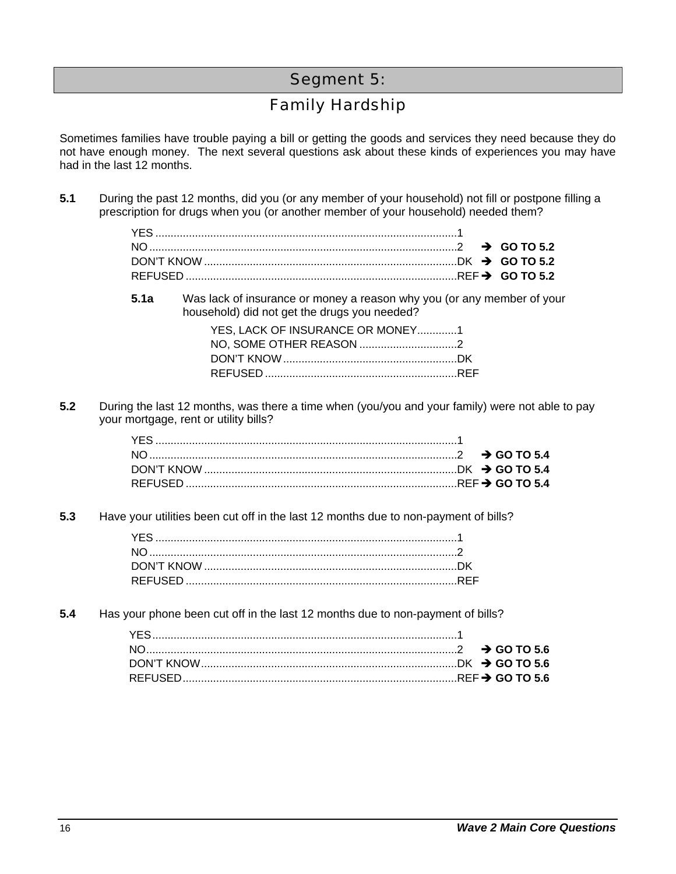# **Segment 5:**

# **Family Hardship**

Sometimes families have trouble paying a bill or getting the goods and services they need because they do not have enough money. The next several questions ask about these kinds of experiences you may have had in the last 12 months.

 $5.1$ During the past 12 months, did you (or any member of your household) not fill or postpone filling a prescription for drugs when you (or another member of your household) needed them?

 $5.1a$ Was lack of insurance or money a reason why you (or any member of your household) did not get the drugs you needed?

| YES, LACK OF INSURANCE OR MONEY1 |  |
|----------------------------------|--|
| NO, SOME OTHER REASON 2          |  |
|                                  |  |
|                                  |  |

 $5.2$ During the last 12 months, was there a time when (you/you and your family) were not able to pay your mortgage, rent or utility bills?

 $5.3$ Have your utilities been cut off in the last 12 months due to non-payment of bills?

 $5.4$ Has your phone been cut off in the last 12 months due to non-payment of bills?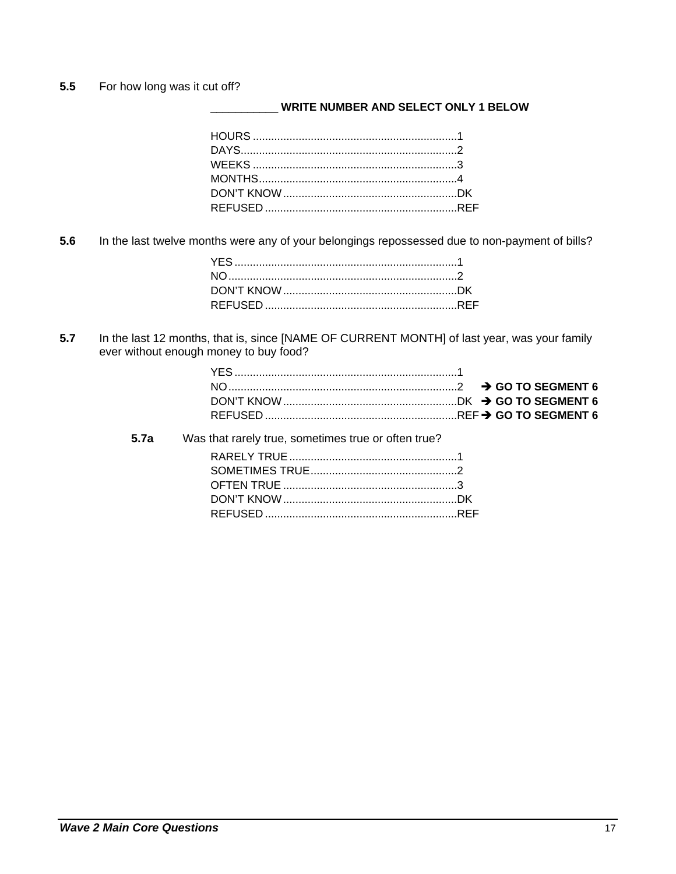#### $5.5$ For how long was it cut off?

## **WRITE NUMBER AND SELECT ONLY 1 BELOW**

 $5.6$ In the last twelve months were any of your belongings repossessed due to non-payment of bills?

In the last 12 months, that is, since [NAME OF CURRENT MONTH] of last year, was your family  $5.7$ ever without enough money to buy food?

| Was that rarely true, sometimes true or often true? |  |  |  |  |
|-----------------------------------------------------|--|--|--|--|
|                                                     |  |  |  |  |
|                                                     |  |  |  |  |
|                                                     |  |  |  |  |
|                                                     |  |  |  |  |
|                                                     |  |  |  |  |
|                                                     |  |  |  |  |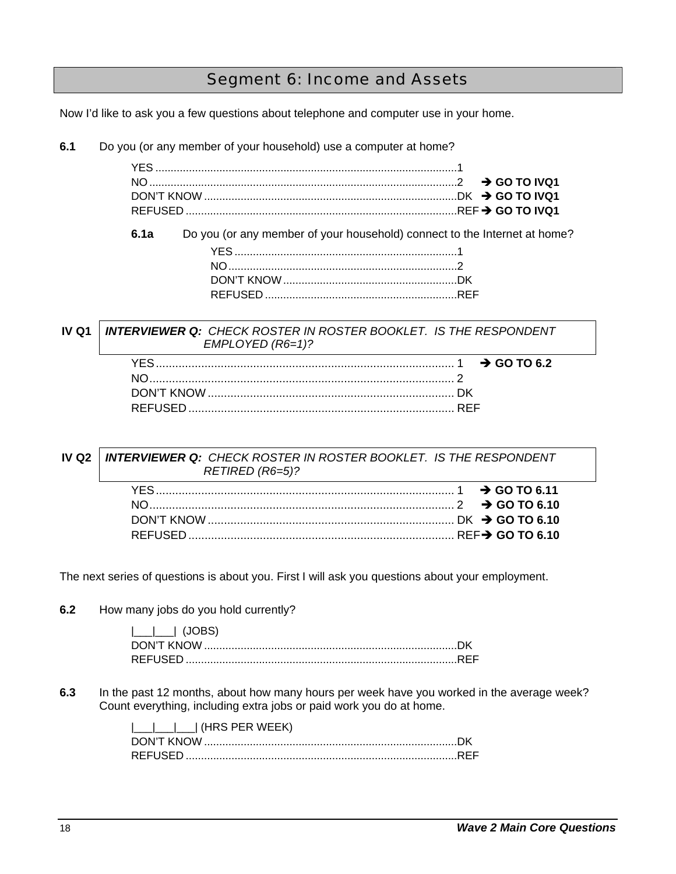# Segment 6: Income and Assets

Now I'd like to ask you a few questions about telephone and computer use in your home.

**6.1** Do you (or any member of your household) use a computer at home?

| 6.1a | Do you (or any member of your household) connect to the Internet at home? |
|------|---------------------------------------------------------------------------|
|      |                                                                           |
|      |                                                                           |

**IV Q1** *INTERVIEWER Q: CHECK ROSTER IN ROSTER BOOKLET. IS THE RESPONDENT EMPLOYED (R6=1)?*

**IV Q2** *INTERVIEWER Q: CHECK ROSTER IN ROSTER BOOKLET. IS THE RESPONDENT RETIRED (R6=5)?*

The next series of questions is about you. First I will ask you questions about your employment.

**6.2** How many jobs do you hold currently?

| $ \_\_\_\_\ $ (JOBS) |  |
|----------------------|--|
|                      |  |
|                      |  |

**6.3** In the past 12 months, about how many hours per week have you worked in the average week? Count everything, including extra jobs or paid work you do at home.

| $ $ <sub>___</sub>  ___ ___  (HRS PER WEEK) |  |
|---------------------------------------------|--|
|                                             |  |
|                                             |  |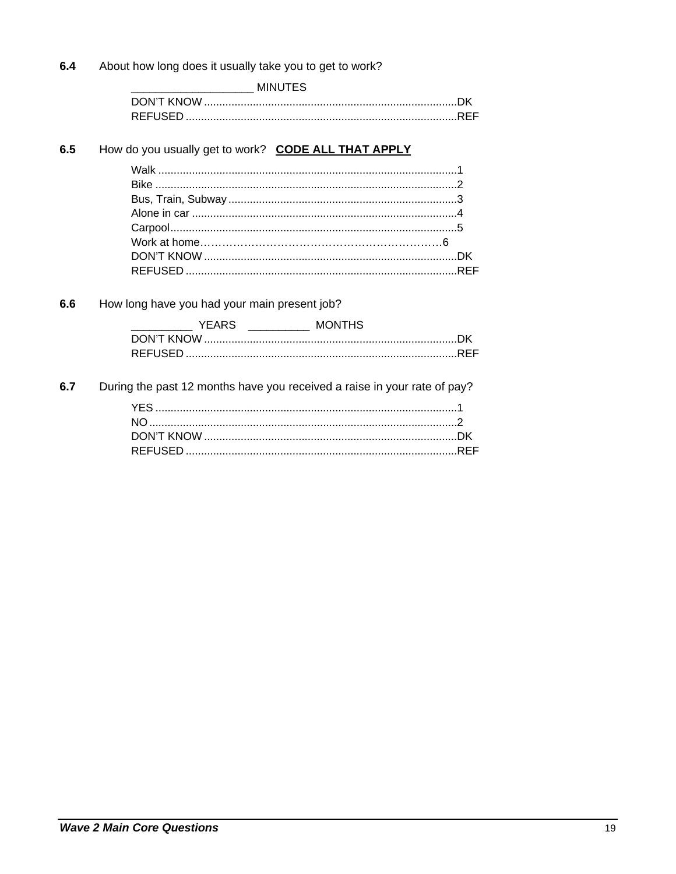$6.4$ About how long does it usually take you to get to work?

\_ MINUTES

#### How do you usually get to work? CODE ALL THAT APPLY  $6.5$

 $6.6$ How long have you had your main present job?

| YFARS | MONTHS |
|-------|--------|
|       |        |
|       |        |

 $6.7$ During the past 12 months have you received a raise in your rate of pay?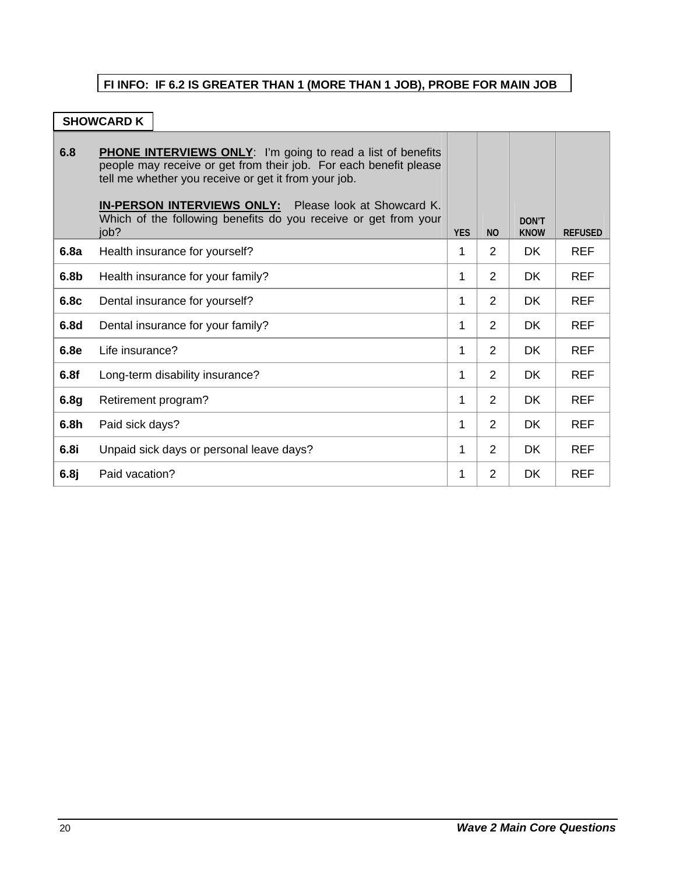# **FI INFO: IF 6.2 IS GREATER THAN 1 (MORE THAN 1 JOB), PROBE FOR MAIN JOB**

 $\overline{a}$ 

 $\overline{a}$ 

L,

# **SHOWCARD K**

| 6.8              | <b>PHONE INTERVIEWS ONLY:</b> I'm going to read a list of benefits<br>people may receive or get from their job. For each benefit please<br>tell me whether you receive or get it from your job.<br><b>IN-PERSON INTERVIEWS ONLY:</b><br>Please look at Showcard K.<br>Which of the following benefits do you receive or get from your<br>iob? | <b>YES</b> | <b>NO</b>      | DON'T<br><b>KNOW</b> | <b>REFUSED</b> |
|------------------|-----------------------------------------------------------------------------------------------------------------------------------------------------------------------------------------------------------------------------------------------------------------------------------------------------------------------------------------------|------------|----------------|----------------------|----------------|
| 6.8a             | Health insurance for yourself?                                                                                                                                                                                                                                                                                                                | 1          | $\overline{2}$ | DK.                  | <b>REF</b>     |
| 6.8 <sub>b</sub> | Health insurance for your family?                                                                                                                                                                                                                                                                                                             | 1          | $\overline{2}$ | DK.                  | <b>REF</b>     |
| 6.8c             | Dental insurance for yourself?                                                                                                                                                                                                                                                                                                                | 1          | $\overline{2}$ | DK.                  | <b>REF</b>     |
| 6.8d             | Dental insurance for your family?                                                                                                                                                                                                                                                                                                             | 1          | 2              | DK.                  | <b>REF</b>     |
| 6.8e             | Life insurance?                                                                                                                                                                                                                                                                                                                               | 1          | $\overline{2}$ | DK.                  | <b>REF</b>     |
| 6.8f             | Long-term disability insurance?                                                                                                                                                                                                                                                                                                               |            | $\overline{2}$ | DK.                  | <b>REF</b>     |
| 6.8 <sub>g</sub> | Retirement program?                                                                                                                                                                                                                                                                                                                           | 1          | 2              | <b>DK</b>            | <b>REF</b>     |
| 6.8h             | Paid sick days?                                                                                                                                                                                                                                                                                                                               | 1          | 2              | DK.                  | <b>REF</b>     |
| 6.8i             | Unpaid sick days or personal leave days?                                                                                                                                                                                                                                                                                                      | 1          | $\overline{2}$ | DK.                  | <b>REF</b>     |
| 6.8j             | Paid vacation?                                                                                                                                                                                                                                                                                                                                |            | $\overline{2}$ | <b>DK</b>            | <b>REF</b>     |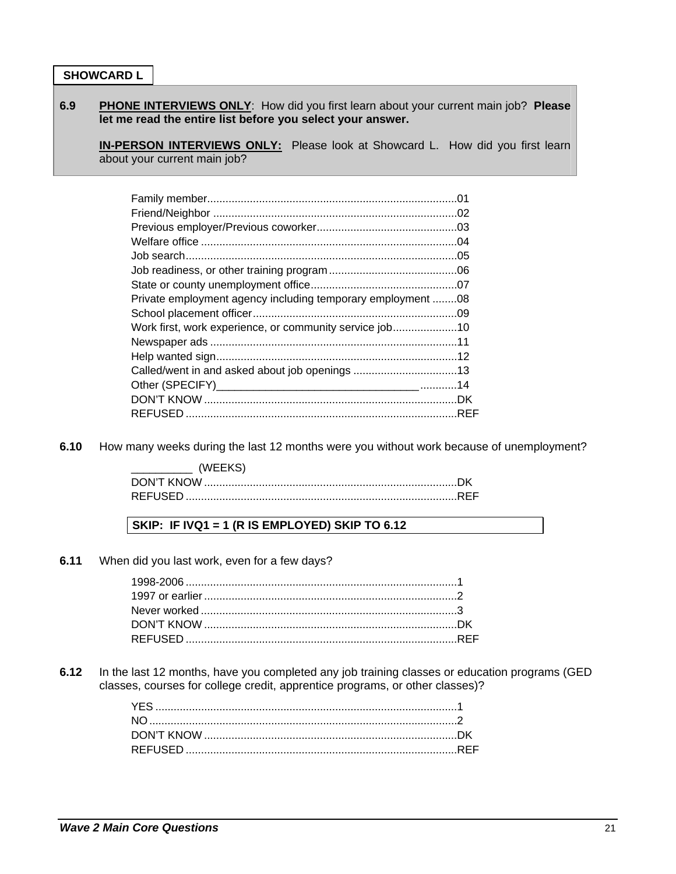**6.9 PHONE INTERVIEWS ONLY**: How did you first learn about your current main job? **Please let me read the entire list before you select your answer.**

**IN-PERSON INTERVIEWS ONLY:** Please look at Showcard L. How did you first learn about your current main job?

| Private employment agency including temporary employment 08 |  |
|-------------------------------------------------------------|--|
|                                                             |  |
| Work first, work experience, or community service job10     |  |
|                                                             |  |
|                                                             |  |
|                                                             |  |
|                                                             |  |
|                                                             |  |
|                                                             |  |

**6.10** How many weeks during the last 12 months were you without work because of unemployment?

| (WEEKS) |  |
|---------|--|
|         |  |
|         |  |

### **SKIP: IF IVQ1 = 1 (R IS EMPLOYED) SKIP TO 6.12**

**6.11** When did you last work, even for a few days?

**6.12** In the last 12 months, have you completed any job training classes or education programs (GED classes, courses for college credit, apprentice programs, or other classes)?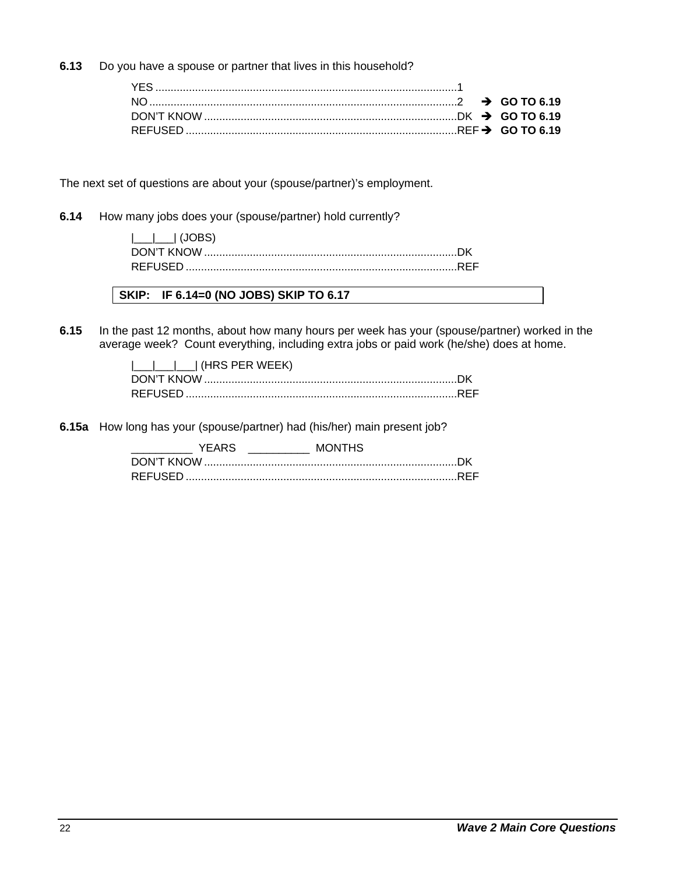**6.13** Do you have a spouse or partner that lives in this household?

The next set of questions are about your (spouse/partner)'s employment.

**6.14** How many jobs does your (spouse/partner) hold currently?

| $ \_\_\_\_\ $ (JOBS) |  |
|----------------------|--|
|                      |  |
|                      |  |

## **SKIP: IF 6.14=0 (NO JOBS) SKIP TO 6.17**

**6.15** In the past 12 months, about how many hours per week has your (spouse/partner) worked in the average week? Count everything, including extra jobs or paid work (he/she) does at home.

| $ $ <sub>___</sub>  ___ ___  (HRS PER WEEK) |  |
|---------------------------------------------|--|
|                                             |  |
|                                             |  |

**6.15a** How long has your (spouse/partner) had (his/her) main present job?

| マトムレ            | MONTHS |
|-----------------|--------|
| DON'T KNOW      |        |
| <b>REELISED</b> |        |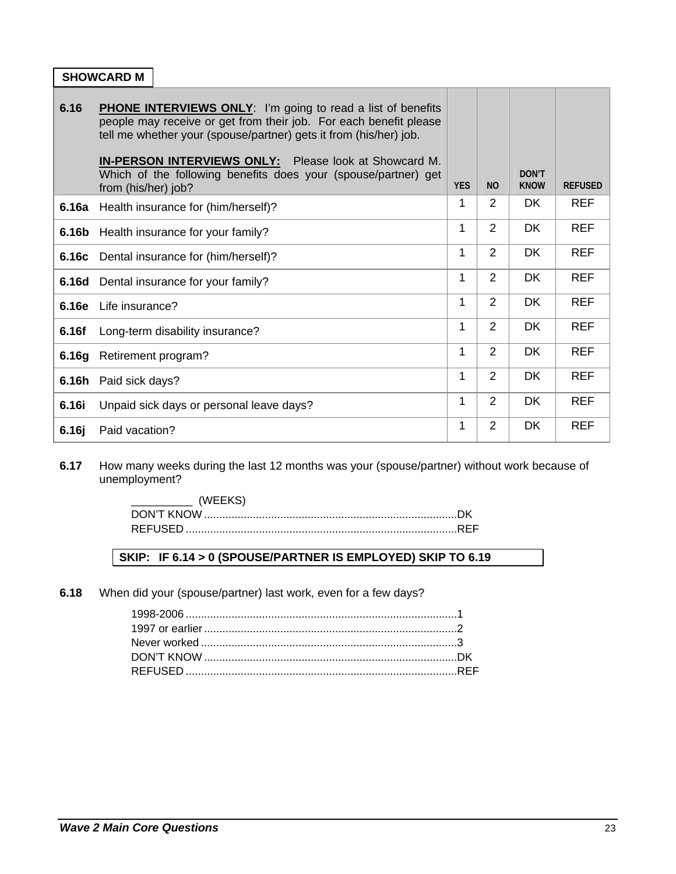|       | <b>SHOWCARD M</b>                                                                                                                                                                                                                                                                                                                                                     |            |                |                      |                |
|-------|-----------------------------------------------------------------------------------------------------------------------------------------------------------------------------------------------------------------------------------------------------------------------------------------------------------------------------------------------------------------------|------------|----------------|----------------------|----------------|
| 6.16  | <b>PHONE INTERVIEWS ONLY:</b> I'm going to read a list of benefits<br>people may receive or get from their job. For each benefit please<br>tell me whether your (spouse/partner) gets it from (his/her) job.<br><b>IN-PERSON INTERVIEWS ONLY:</b> Please look at Showcard M.<br>Which of the following benefits does your (spouse/partner) get<br>from (his/her) job? | <b>YES</b> | <b>NO</b>      | DON'T<br><b>KNOW</b> | <b>REFUSED</b> |
| 6.16a | Health insurance for (him/herself)?                                                                                                                                                                                                                                                                                                                                   | 1          | 2              | DK.                  | <b>REF</b>     |
| 6.16b | Health insurance for your family?                                                                                                                                                                                                                                                                                                                                     | 1          | $\overline{2}$ | <b>DK</b>            | <b>REF</b>     |
| 6.16c | Dental insurance for (him/herself)?                                                                                                                                                                                                                                                                                                                                   | 1          | $\overline{2}$ | <b>DK</b>            | <b>REF</b>     |
| 6.16d | Dental insurance for your family?                                                                                                                                                                                                                                                                                                                                     | 1          | $\overline{2}$ | <b>DK</b>            | <b>REF</b>     |
| 6.16e | Life insurance?                                                                                                                                                                                                                                                                                                                                                       | 1          | $\overline{2}$ | <b>DK</b>            | <b>REF</b>     |
| 6.16f | Long-term disability insurance?                                                                                                                                                                                                                                                                                                                                       | 1          | $\overline{2}$ | <b>DK</b>            | <b>REF</b>     |
| 6.16g | Retirement program?                                                                                                                                                                                                                                                                                                                                                   | 1          | $\overline{2}$ | <b>DK</b>            | <b>REF</b>     |
| 6.16h | Paid sick days?                                                                                                                                                                                                                                                                                                                                                       | 1          | 2              | <b>DK</b>            | <b>REF</b>     |
| 6.16i | Unpaid sick days or personal leave days?                                                                                                                                                                                                                                                                                                                              | 1          | 2              | <b>DK</b>            | <b>REF</b>     |
| 6.16j | Paid vacation?                                                                                                                                                                                                                                                                                                                                                        | 1          | 2              | <b>DK</b>            | <b>REF</b>     |

**6.17** How many weeks during the last 12 months was your (spouse/partner) without work because of unemployment?

| (WEEKS)<br>$\overline{\phantom{a}}$ $\overline{\phantom{a}}$ $\overline{\phantom{a}}$ $\overline{\phantom{a}}$ $\overline{\phantom{a}}$ $\overline{\phantom{a}}$ $\overline{\phantom{a}}$ $\overline{\phantom{a}}$ $\overline{\phantom{a}}$ $\overline{\phantom{a}}$ $\overline{\phantom{a}}$ $\overline{\phantom{a}}$ $\overline{\phantom{a}}$ $\overline{\phantom{a}}$ $\overline{\phantom{a}}$ $\overline{\phantom{a}}$ $\overline{\phantom{a}}$ $\overline{\phantom{a}}$ $\overline{\$ |  |
|--------------------------------------------------------------------------------------------------------------------------------------------------------------------------------------------------------------------------------------------------------------------------------------------------------------------------------------------------------------------------------------------------------------------------------------------------------------------------------------------|--|
|                                                                                                                                                                                                                                                                                                                                                                                                                                                                                            |  |
|                                                                                                                                                                                                                                                                                                                                                                                                                                                                                            |  |

# **SKIP: IF 6.14 > 0 (SPOUSE/PARTNER IS EMPLOYED) SKIP TO 6.19**

**6.18** When did your (spouse/partner) last work, even for a few days?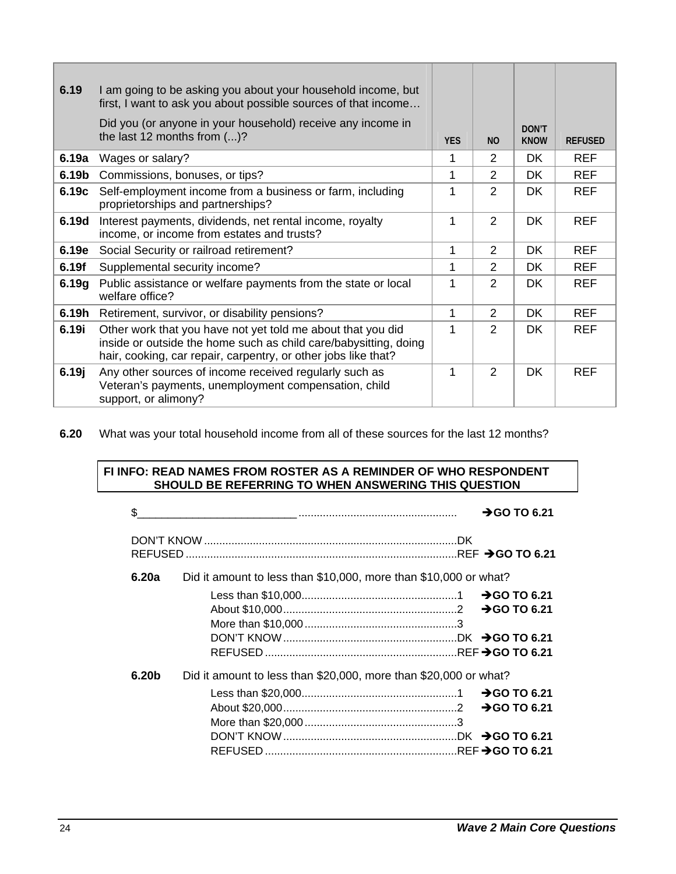| 6.19  | I am going to be asking you about your household income, but<br>first, I want to ask you about possible sources of that income<br>Did you (or anyone in your household) receive any income in<br>the last 12 months from $()?$ | <b>YES</b> | NO.            | DON'T<br><b>KNOW</b> | <b>REFUSED</b> |
|-------|--------------------------------------------------------------------------------------------------------------------------------------------------------------------------------------------------------------------------------|------------|----------------|----------------------|----------------|
| 6.19a | Wages or salary?                                                                                                                                                                                                               | 1          | $\mathcal{P}$  | DK.                  | <b>REF</b>     |
| 6.19b | Commissions, bonuses, or tips?                                                                                                                                                                                                 |            | 2              | DK.                  | <b>REF</b>     |
| 6.19c | Self-employment income from a business or farm, including<br>proprietorships and partnerships?                                                                                                                                 |            | 2              | DK.                  | <b>REF</b>     |
| 6.19d | Interest payments, dividends, net rental income, royalty<br>income, or income from estates and trusts?                                                                                                                         |            | $\overline{2}$ | DK.                  | <b>REF</b>     |
| 6.19e | Social Security or railroad retirement?                                                                                                                                                                                        | 1          | 2              | DK.                  | <b>REF</b>     |
| 6.19f | Supplemental security income?                                                                                                                                                                                                  | 1          | 2              | DK.                  | <b>REF</b>     |
| 6.19g | Public assistance or welfare payments from the state or local<br>welfare office?                                                                                                                                               |            | 2              | DK.                  | <b>REF</b>     |
| 6.19h | Retirement, survivor, or disability pensions?                                                                                                                                                                                  | 1          | 2              | DK.                  | <b>REF</b>     |
| 6.19i | Other work that you have not yet told me about that you did<br>inside or outside the home such as child care/babysitting, doing<br>hair, cooking, car repair, carpentry, or other jobs like that?                              | 1          | $\mathcal{P}$  | DK.                  | <b>REF</b>     |
| 6.19j | Any other sources of income received regularly such as<br>Veteran's payments, unemployment compensation, child<br>support, or alimony?                                                                                         |            | 2              | DK.                  | <b>REF</b>     |

**<sup>6.20</sup>** What was your total household income from all of these sources for the last 12 months?

## **FI INFO: READ NAMES FROM ROSTER AS A REMINDER OF WHO RESPONDENT SHOULD BE REFERRING TO WHEN ANSWERING THIS QUESTION**

| \$                |                                                                  | $\rightarrow$ GO TO 6.21 |
|-------------------|------------------------------------------------------------------|--------------------------|
|                   |                                                                  |                          |
| 6.20a             | Did it amount to less than \$10,000, more than \$10,000 or what? |                          |
|                   |                                                                  |                          |
|                   |                                                                  |                          |
|                   |                                                                  |                          |
|                   |                                                                  |                          |
|                   |                                                                  |                          |
| 6.20 <sub>b</sub> | Did it amount to less than \$20,000, more than \$20,000 or what? |                          |
|                   |                                                                  |                          |
|                   |                                                                  |                          |
|                   |                                                                  |                          |
|                   |                                                                  |                          |
|                   |                                                                  |                          |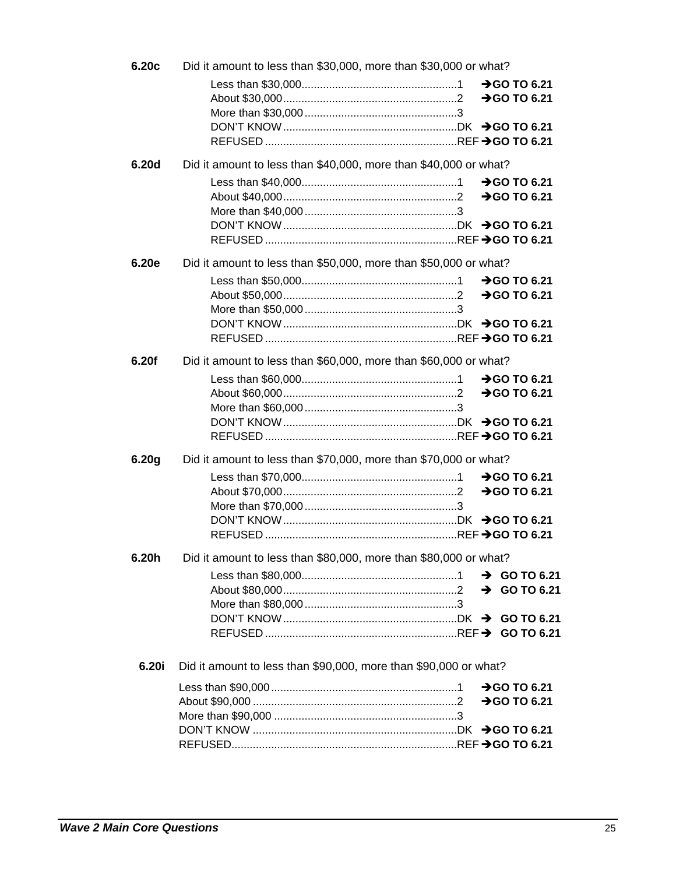| 6.20c | Did it amount to less than \$30,000, more than \$30,000 or what? |  |  |                          |  |
|-------|------------------------------------------------------------------|--|--|--------------------------|--|
|       |                                                                  |  |  | $\rightarrow$ GO TO 6.21 |  |
|       |                                                                  |  |  | →GO TO 6.21              |  |
|       |                                                                  |  |  |                          |  |
|       |                                                                  |  |  |                          |  |
|       |                                                                  |  |  |                          |  |
| 6.20d |                                                                  |  |  |                          |  |
|       | Did it amount to less than \$40,000, more than \$40,000 or what? |  |  |                          |  |
|       |                                                                  |  |  |                          |  |
|       |                                                                  |  |  | →GO TO 6.21              |  |
|       |                                                                  |  |  |                          |  |
|       |                                                                  |  |  |                          |  |
|       |                                                                  |  |  |                          |  |
| 6.20e | Did it amount to less than \$50,000, more than \$50,000 or what? |  |  |                          |  |
|       |                                                                  |  |  |                          |  |
|       |                                                                  |  |  |                          |  |
|       |                                                                  |  |  |                          |  |
|       |                                                                  |  |  |                          |  |
|       |                                                                  |  |  |                          |  |
| 6.20f | Did it amount to less than \$60,000, more than \$60,000 or what? |  |  |                          |  |
|       |                                                                  |  |  | $\rightarrow$ GO TO 6.21 |  |
|       |                                                                  |  |  | →GO TO 6.21              |  |
|       |                                                                  |  |  |                          |  |
|       |                                                                  |  |  |                          |  |
|       |                                                                  |  |  |                          |  |
|       |                                                                  |  |  |                          |  |
| 6.20g | Did it amount to less than \$70,000, more than \$70,000 or what? |  |  |                          |  |
|       |                                                                  |  |  | $\rightarrow$ GO TO 6.21 |  |
|       |                                                                  |  |  |                          |  |
|       |                                                                  |  |  |                          |  |
|       |                                                                  |  |  |                          |  |
|       |                                                                  |  |  |                          |  |
| 6.20h | Did it amount to less than \$80,000, more than \$80,000 or what? |  |  |                          |  |
|       |                                                                  |  |  | $\rightarrow$ GO TO 6.21 |  |
|       |                                                                  |  |  | $\rightarrow$ GO TO 6.21 |  |
|       |                                                                  |  |  |                          |  |
|       |                                                                  |  |  |                          |  |
|       |                                                                  |  |  |                          |  |
|       |                                                                  |  |  |                          |  |
| 6.20i | Did it amount to less than \$90,000, more than \$90,000 or what? |  |  |                          |  |
|       |                                                                  |  |  | $\rightarrow$ GO TO 6.21 |  |
|       |                                                                  |  |  | →GO TO 6.21              |  |
|       |                                                                  |  |  |                          |  |
|       |                                                                  |  |  |                          |  |
|       |                                                                  |  |  |                          |  |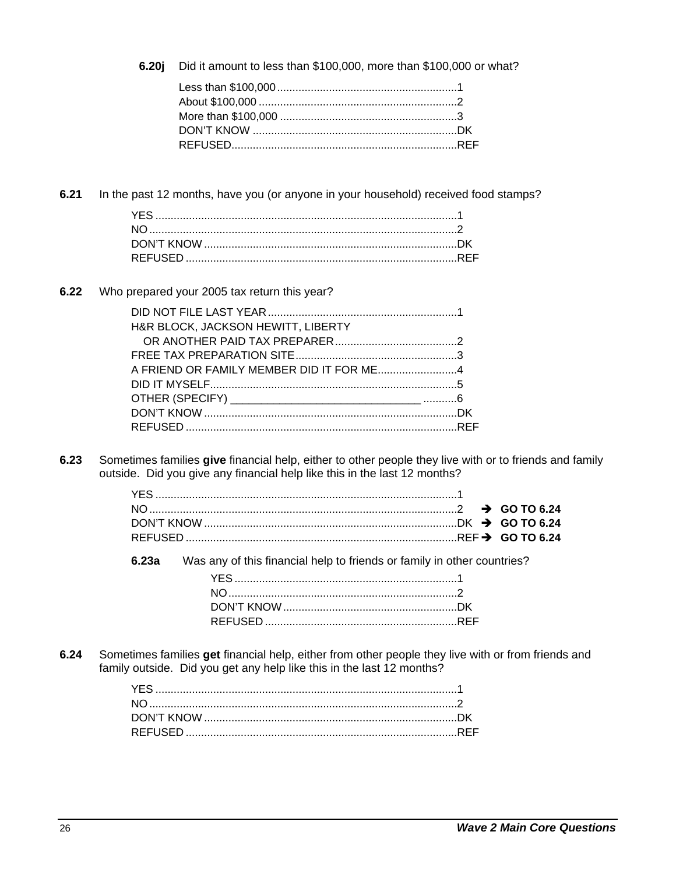| 6.20j Did it amount to less than \$100,000, more than \$100,000 or what? |  |
|--------------------------------------------------------------------------|--|
|                                                                          |  |
|                                                                          |  |
|                                                                          |  |
|                                                                          |  |
|                                                                          |  |
|                                                                          |  |

 $6.21$ In the past 12 months, have you (or anyone in your household) received food stamps?

 $6.22$ Who prepared your 2005 tax return this year?

| H&R BLOCK, JACKSON HEWITT, LIBERTY       |  |
|------------------------------------------|--|
|                                          |  |
|                                          |  |
| A FRIEND OR FAMILY MEMBER DID IT FOR ME4 |  |
|                                          |  |
|                                          |  |
|                                          |  |
|                                          |  |

 $6.23$ Sometimes families give financial help, either to other people they live with or to friends and family outside. Did you give any financial help like this in the last 12 months?

 $6.23a$ Was any of this financial help to friends or family in other countries?

6.24 Sometimes families get financial help, either from other people they live with or from friends and family outside. Did you get any help like this in the last 12 months?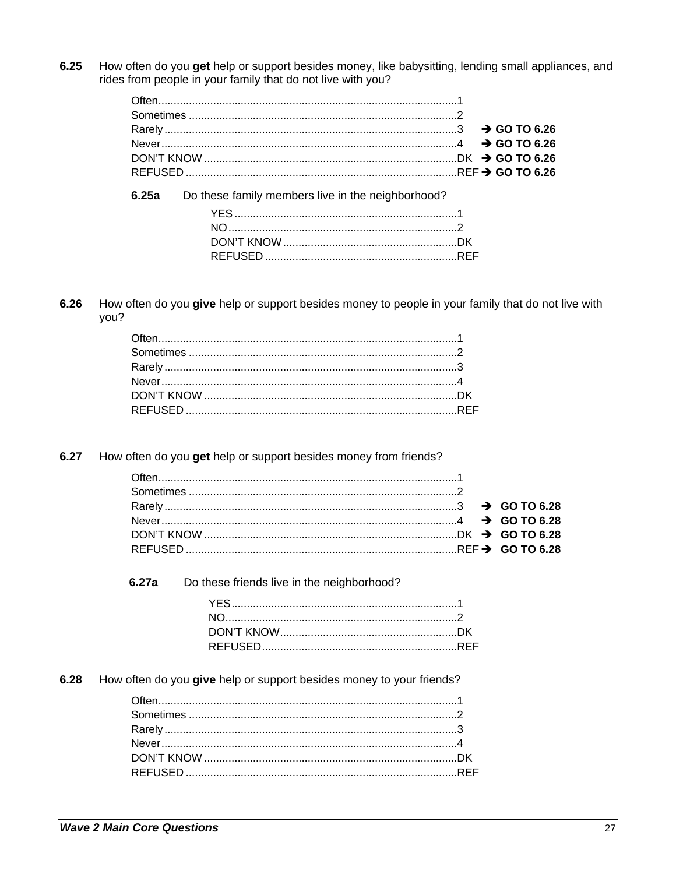$6.25$ How often do you get help or support besides money, like babysitting, lending small appliances, and rides from people in your family that do not live with you?

| 6.25a Do these family members live in the neighborhood? |  |  |
|---------------------------------------------------------|--|--|
| $\sqrt{2}$                                              |  |  |

 $6.26$ How often do you give help or support besides money to people in your family that do not live with you?

6.27 How often do you get help or support besides money from friends?

 $6.27a$ Do these friends live in the neighborhood?

6.28 How often do you give help or support besides money to your friends?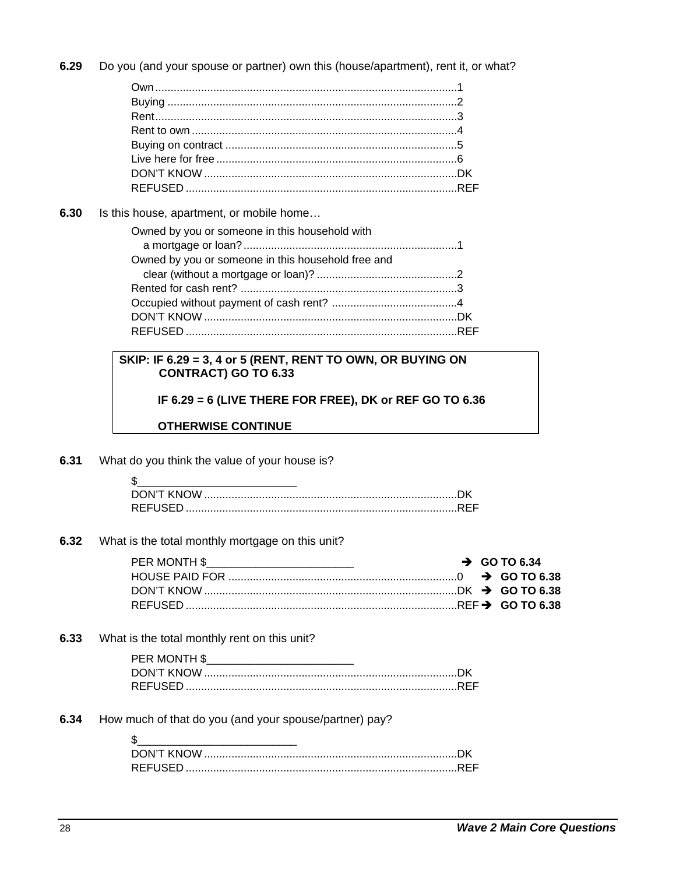$6.29$ Do you (and your spouse or partner) own this (house/apartment), rent it, or what?

6.30 Is this house, apartment, or mobile home...

| Owned by you or someone in this household with     |  |
|----------------------------------------------------|--|
|                                                    |  |
| Owned by you or someone in this household free and |  |
|                                                    |  |
|                                                    |  |
|                                                    |  |
|                                                    |  |
|                                                    |  |

## SKIP: IF 6.29 = 3, 4 or 5 (RENT, RENT TO OWN, OR BUYING ON **CONTRACT) GO TO 6.33**

IF 6.29 = 6 (LIVE THERE FOR FREE), DK or REF GO TO 6.36

## **OTHERWISE CONTINUE**

6.31 What do you think the value of your house is?

6.32 What is the total monthly mortgage on this unit?

| PER MONTH \$_______________________________                                                                                                    |  | $\rightarrow$ GO TO 6.34 |
|------------------------------------------------------------------------------------------------------------------------------------------------|--|--------------------------|
| HOUSE PAID FOR $\ldots$ $\ldots$ $\ldots$ $\ldots$ $\ldots$ $\ldots$ $\ldots$ $\ldots$ $\ldots$ $\ldots$ $\ldots$ $\ldots$ $\ldots$ GO TO 6.38 |  |                          |
|                                                                                                                                                |  |                          |
|                                                                                                                                                |  |                          |

6.33 What is the total monthly rent on this unit?

| PER MONTH \$ |  |
|--------------|--|
|              |  |
|              |  |

#### 6.34 How much of that do you (and your spouse/partner) pay?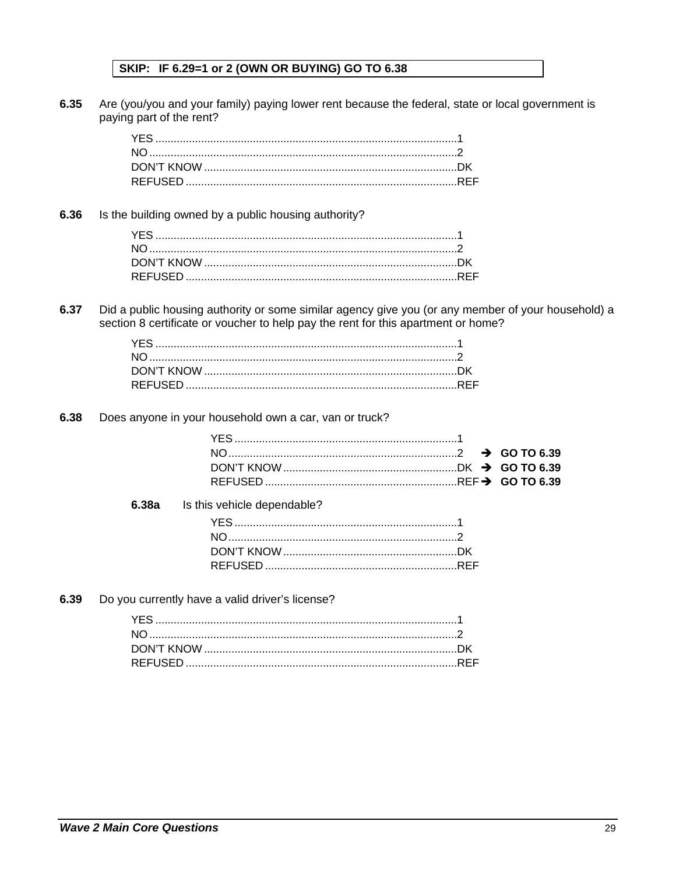## SKIP: IF 6.29=1 or 2 (OWN OR BUYING) GO TO 6.38

6.35 Are (you/you and your family) paying lower rent because the federal, state or local government is paying part of the rent?

#### 6.36 Is the building owned by a public housing authority?

6.37 Did a public housing authority or some similar agency give you (or any member of your household) a section 8 certificate or voucher to help pay the rent for this apartment or home?

#### 6.38 Does anyone in your household own a car, van or truck?

#### 6.38a Is this vehicle dependable?

6.39 Do you currently have a valid driver's license?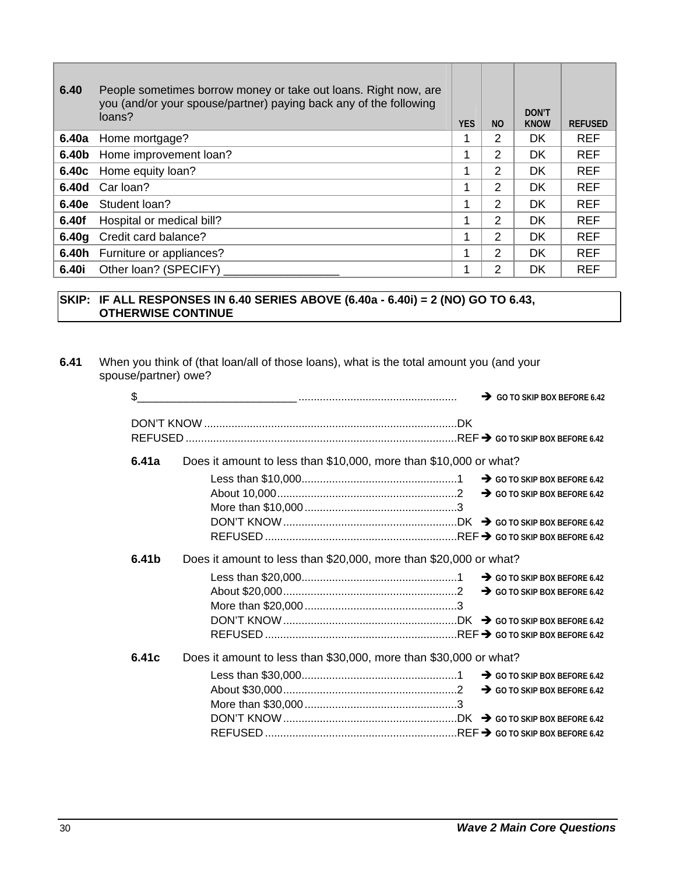| 6.40              | People sometimes borrow money or take out loans. Right now, are<br>you (and/or your spouse/partner) paying back any of the following<br>loans? | <b>YES</b> | <b>NO</b>     | DON'T<br><b>KNOW</b> | <b>REFUSED</b> |
|-------------------|------------------------------------------------------------------------------------------------------------------------------------------------|------------|---------------|----------------------|----------------|
| 6.40a             | Home mortgage?                                                                                                                                 |            | 2             | DK                   | <b>REF</b>     |
| 6.40b             | Home improvement loan?                                                                                                                         |            | 2             | DK                   | <b>REF</b>     |
| 6.40c             | Home equity loan?                                                                                                                              |            | $\mathcal{P}$ | DK                   | <b>REF</b>     |
| 6.40d             | Car loan?                                                                                                                                      |            | 2             | DK                   | <b>REF</b>     |
| 6.40e             | Student loan?                                                                                                                                  |            | 2             | DK                   | <b>REF</b>     |
| 6.40f             | Hospital or medical bill?                                                                                                                      |            | $\mathcal{P}$ | DK                   | <b>REF</b>     |
| 6.40 <sub>q</sub> | Credit card balance?                                                                                                                           |            | $\mathcal{P}$ | DK                   | <b>REF</b>     |
| 6.40h             | Furniture or appliances?                                                                                                                       |            | $\mathcal{P}$ | DK                   | <b>REF</b>     |
| 6.40i             | Other loan? (SPECIFY)                                                                                                                          |            | $\mathcal{P}$ | DK                   | <b>REF</b>     |

# **SKIP: IF ALL RESPONSES IN 6.40 SERIES ABOVE (6.40a - 6.40i) = 2 (NO) GO TO 6.43, OTHERWISE CONTINUE**

| 6.41 | When you think of (that loan/all of those loans), what is the total amount you (and your<br>spouse/partner) owe? |                                          |  |  |
|------|------------------------------------------------------------------------------------------------------------------|------------------------------------------|--|--|
|      |                                                                                                                  | $\rightarrow$ GO TO SKIP BOX BEFORE 6.42 |  |  |

| 6.41a             | Does it amount to less than \$10,000, more than \$10,000 or what? |  |  |  |
|-------------------|-------------------------------------------------------------------|--|--|--|
|                   |                                                                   |  |  |  |
|                   |                                                                   |  |  |  |
|                   |                                                                   |  |  |  |
|                   |                                                                   |  |  |  |
|                   |                                                                   |  |  |  |
| 6.41 <sub>b</sub> | Does it amount to less than \$20,000, more than \$20,000 or what? |  |  |  |
|                   |                                                                   |  |  |  |
|                   |                                                                   |  |  |  |
|                   |                                                                   |  |  |  |
|                   |                                                                   |  |  |  |
|                   |                                                                   |  |  |  |
| 6.41c             | Does it amount to less than \$30,000, more than \$30,000 or what? |  |  |  |
|                   |                                                                   |  |  |  |
|                   |                                                                   |  |  |  |
|                   |                                                                   |  |  |  |
|                   |                                                                   |  |  |  |
|                   |                                                                   |  |  |  |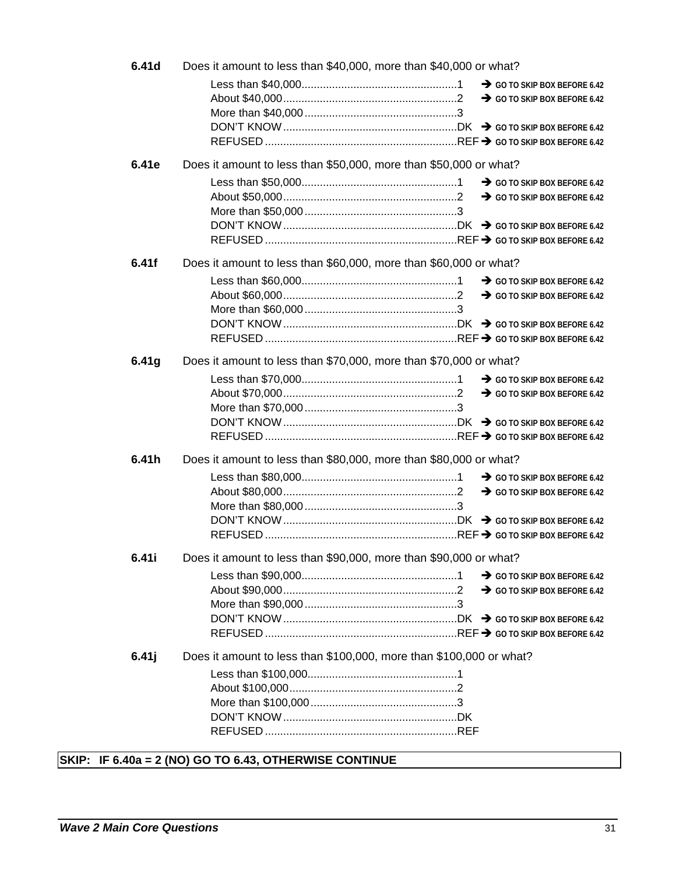| 6.41d | Does it amount to less than \$40,000, more than \$40,000 or what?   |
|-------|---------------------------------------------------------------------|
|       |                                                                     |
|       |                                                                     |
|       |                                                                     |
|       |                                                                     |
|       |                                                                     |
| 6.41e | Does it amount to less than \$50,000, more than \$50,000 or what?   |
|       |                                                                     |
|       |                                                                     |
|       | GO TO SKIP BOX BEFORE 6.42                                          |
|       |                                                                     |
|       |                                                                     |
|       |                                                                     |
| 6.41f | Does it amount to less than \$60,000, more than \$60,000 or what?   |
|       |                                                                     |
|       |                                                                     |
|       |                                                                     |
|       |                                                                     |
|       |                                                                     |
| 6.41g | Does it amount to less than \$70,000, more than \$70,000 or what?   |
|       |                                                                     |
|       | SO TO SKIP BOX BEFORE 6.42                                          |
|       |                                                                     |
|       |                                                                     |
|       |                                                                     |
| 6.41h | Does it amount to less than \$80,000, more than \$80,000 or what?   |
|       |                                                                     |
|       |                                                                     |
|       |                                                                     |
|       |                                                                     |
|       |                                                                     |
| 6.41i | Does it amount to less than \$90,000, more than \$90,000 or what?   |
|       | → GO TO SKIP BOX BEFORE 6.42                                        |
|       | GO TO SKIP BOX BEFORE 6.42                                          |
|       |                                                                     |
|       |                                                                     |
|       |                                                                     |
| 6.41j | Does it amount to less than \$100,000, more than \$100,000 or what? |
|       |                                                                     |
|       |                                                                     |
|       |                                                                     |
|       |                                                                     |
|       |                                                                     |

# **SKIP: IF 6.40a = 2 (NO) GO TO 6.43, OTHERWISE CONTINUE**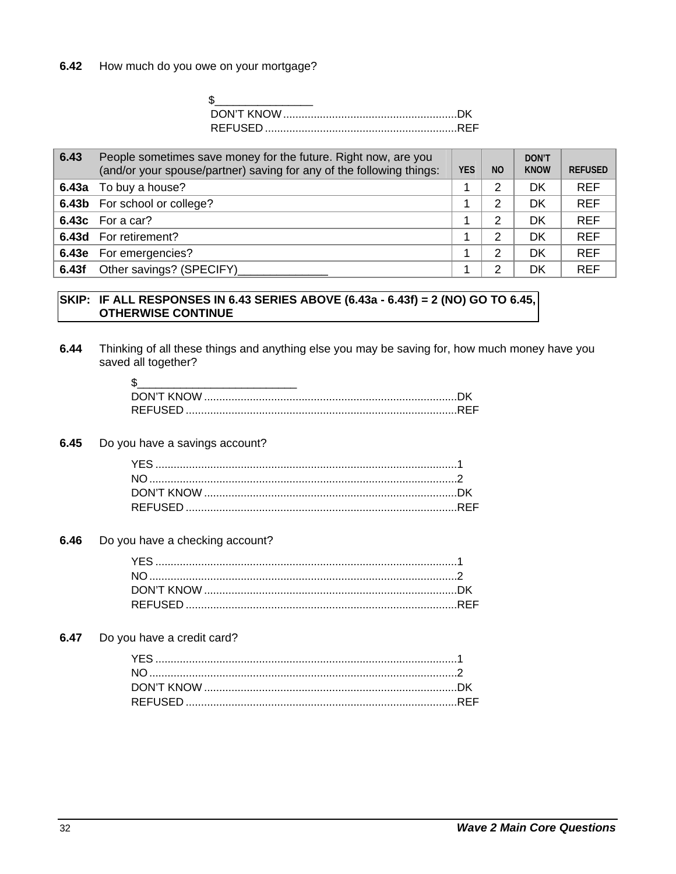**6.42** How much do you owe on your mortgage?

| \$ |
|----|
|    |
|    |

| 6.43  | People sometimes save money for the future. Right now, are you<br>(and/or your spouse/partner) saving for any of the following things: | <b>YES</b> | NO. | DON'T<br><b>KNOW</b> | <b>REFUSED</b> |
|-------|----------------------------------------------------------------------------------------------------------------------------------------|------------|-----|----------------------|----------------|
| 6.43а | To buy a house?                                                                                                                        |            | 2   | DK                   | <b>REF</b>     |
|       | 6.43b For school or college?                                                                                                           |            | っ   | DK                   | <b>REF</b>     |
|       | 6.43c For a car?                                                                                                                       |            | ົ   | DK                   | <b>REF</b>     |
|       | 6.43d For retirement?                                                                                                                  |            | 2   | DK                   | <b>REF</b>     |
|       | <b>6.43e</b> For emergencies?                                                                                                          |            | ⌒   | DK                   | <b>REF</b>     |
| 6.43f | Other savings? (SPECIFY)                                                                                                               |            | ◠   | DK                   | <b>REF</b>     |

# **SKIP: IF ALL RESPONSES IN 6.43 SERIES ABOVE (6.43a - 6.43f) = 2 (NO) GO TO 6.45, OTHERWISE CONTINUE**

**6.44** Thinking of all these things and anything else you may be saving for, how much money have you saved all together?

## **6.45** Do you have a savings account?

**6.46** Do you have a checking account?

## **6.47** Do you have a credit card?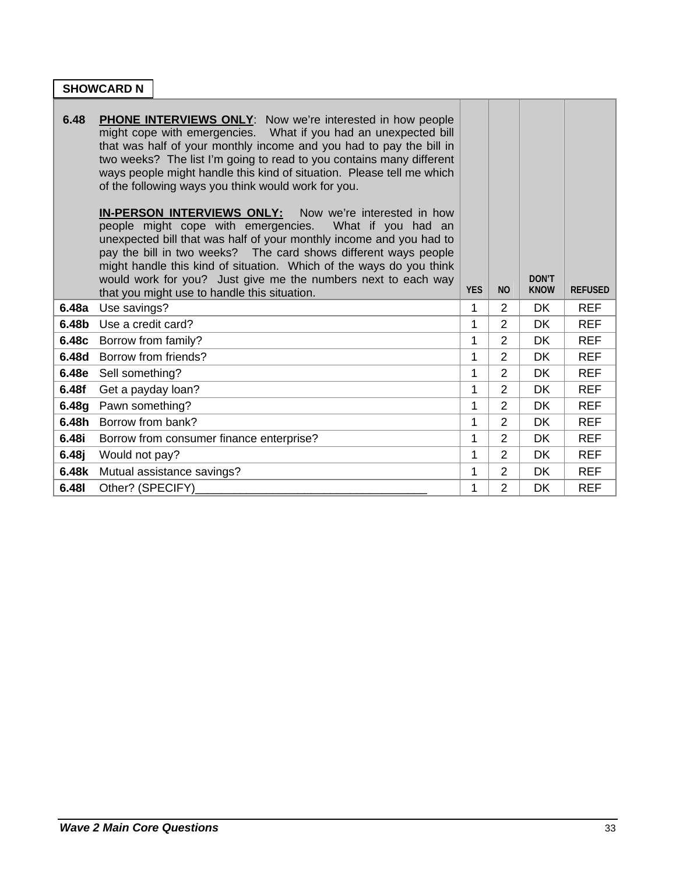**SHOWCARD N** 

| 6.48  | <b>PHONE INTERVIEWS ONLY:</b> Now we're interested in how people<br>might cope with emergencies. What if you had an unexpected bill<br>that was half of your monthly income and you had to pay the bill in<br>two weeks? The list I'm going to read to you contains many different<br>ways people might handle this kind of situation. Please tell me which<br>of the following ways you think would work for you.<br><b>IN-PERSON INTERVIEWS ONLY:</b> Now we're interested in how<br>people might cope with emergencies. What if you had an<br>unexpected bill that was half of your monthly income and you had to<br>pay the bill in two weeks? The card shows different ways people<br>might handle this kind of situation. Which of the ways do you think<br>would work for you? Just give me the numbers next to each way<br>that you might use to handle this situation. | <b>YES</b> | <b>NO</b>      | DON'T<br><b>KNOW</b> | <b>REFUSED</b> |
|-------|---------------------------------------------------------------------------------------------------------------------------------------------------------------------------------------------------------------------------------------------------------------------------------------------------------------------------------------------------------------------------------------------------------------------------------------------------------------------------------------------------------------------------------------------------------------------------------------------------------------------------------------------------------------------------------------------------------------------------------------------------------------------------------------------------------------------------------------------------------------------------------|------------|----------------|----------------------|----------------|
| 6.48a | Use savings?                                                                                                                                                                                                                                                                                                                                                                                                                                                                                                                                                                                                                                                                                                                                                                                                                                                                    | 1          | $\overline{2}$ | DK.                  | <b>REF</b>     |
| 6.48b | Use a credit card?                                                                                                                                                                                                                                                                                                                                                                                                                                                                                                                                                                                                                                                                                                                                                                                                                                                              | 1          | 2              | <b>DK</b>            | <b>REF</b>     |
| 6.48c | Borrow from family?                                                                                                                                                                                                                                                                                                                                                                                                                                                                                                                                                                                                                                                                                                                                                                                                                                                             | 1          | $\overline{2}$ | DK.                  | <b>REF</b>     |
| 6.48d | Borrow from friends?                                                                                                                                                                                                                                                                                                                                                                                                                                                                                                                                                                                                                                                                                                                                                                                                                                                            | 1          | 2              | DK.                  | <b>REF</b>     |
| 6.48e | Sell something?                                                                                                                                                                                                                                                                                                                                                                                                                                                                                                                                                                                                                                                                                                                                                                                                                                                                 | 1          | $\overline{2}$ | DK.                  | <b>REF</b>     |
| 6.48f | Get a payday loan?                                                                                                                                                                                                                                                                                                                                                                                                                                                                                                                                                                                                                                                                                                                                                                                                                                                              | 1          | 2              | DK.                  | <b>REF</b>     |
| 6.48g | Pawn something?                                                                                                                                                                                                                                                                                                                                                                                                                                                                                                                                                                                                                                                                                                                                                                                                                                                                 | 1          | $\overline{2}$ | <b>DK</b>            | <b>REF</b>     |
| 6.48h | Borrow from bank?                                                                                                                                                                                                                                                                                                                                                                                                                                                                                                                                                                                                                                                                                                                                                                                                                                                               | 1          | 2              | DK.                  | <b>REF</b>     |
| 6.48i | Borrow from consumer finance enterprise?                                                                                                                                                                                                                                                                                                                                                                                                                                                                                                                                                                                                                                                                                                                                                                                                                                        | 1          | $\overline{2}$ | DK.                  | <b>REF</b>     |
| 6.48j | Would not pay?                                                                                                                                                                                                                                                                                                                                                                                                                                                                                                                                                                                                                                                                                                                                                                                                                                                                  | 1          | $\overline{2}$ | <b>DK</b>            | <b>REF</b>     |
| 6.48k | Mutual assistance savings?                                                                                                                                                                                                                                                                                                                                                                                                                                                                                                                                                                                                                                                                                                                                                                                                                                                      | 1          | $\overline{2}$ | DK.                  | <b>REF</b>     |
| 6.481 | Other? (SPECIFY)                                                                                                                                                                                                                                                                                                                                                                                                                                                                                                                                                                                                                                                                                                                                                                                                                                                                | 1          | $\overline{2}$ | DK                   | <b>REF</b>     |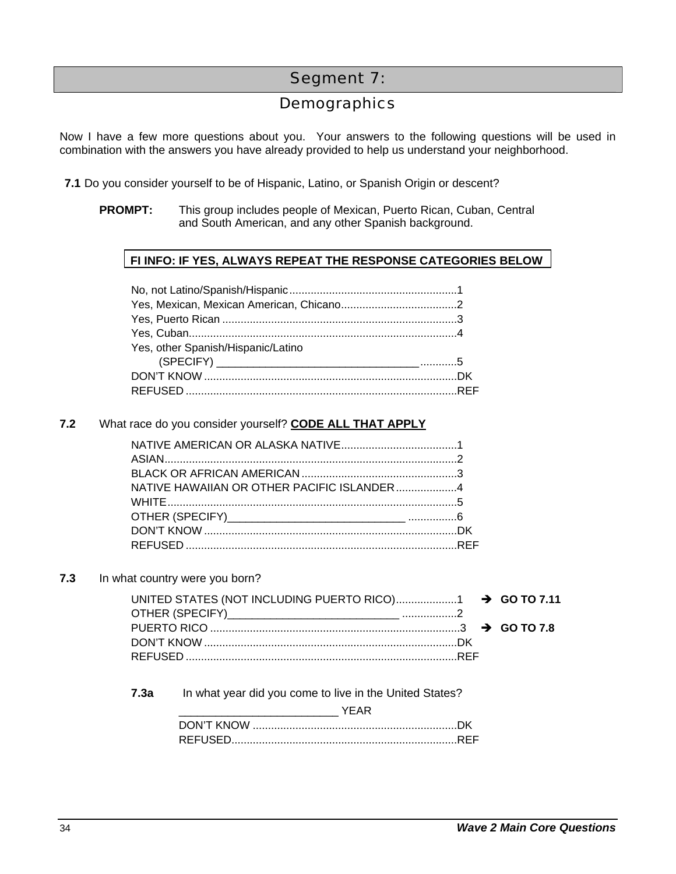# Segment 7:

# **Demographics**

Now I have a few more questions about you. Your answers to the following questions will be used in combination with the answers you have already provided to help us understand your neighborhood.

- **7.1** Do you consider yourself to be of Hispanic, Latino, or Spanish Origin or descent?
	- **PROMPT:** This group includes people of Mexican, Puerto Rican, Cuban, Central and South American, and any other Spanish background.

## **FI INFO: IF YES, ALWAYS REPEAT THE RESPONSE CATEGORIES BELOW**

| Yes, other Spanish/Hispanic/Latino |  |
|------------------------------------|--|
|                                    |  |
|                                    |  |
|                                    |  |

## **7.2** What race do you consider yourself? **CODE ALL THAT APPLY**

| NATIVE HAWAIIAN OR OTHER PACIFIC ISLANDER4 |  |
|--------------------------------------------|--|
|                                            |  |
|                                            |  |
|                                            |  |
|                                            |  |

## **7.3** In what country were you born?

**7.3a** In what year did you come to live in the United States?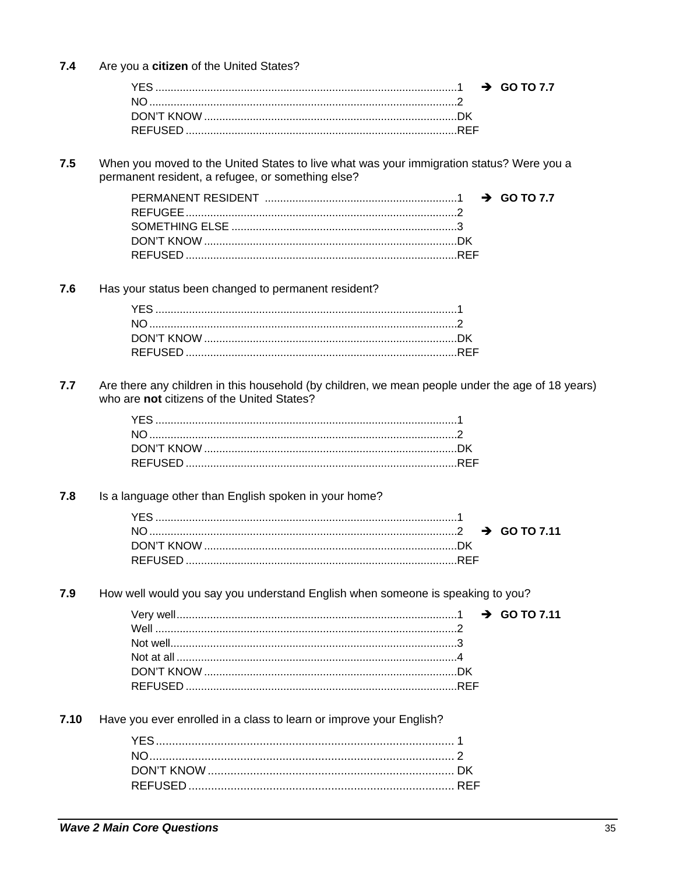$7.4$ Are you a citizen of the United States?

 $7.5$ When you moved to the United States to live what was your immigration status? Were you a permanent resident, a refugee, or something else?

 $7.6$ Has your status been changed to permanent resident?

 $7.7$ Are there any children in this household (by children, we mean people under the age of 18 years) who are not citizens of the United States?

 $7.8$ Is a language other than English spoken in your home?

7.9 How well would you say you understand English when someone is speaking to you?

 $7.10$ Have you ever enrolled in a class to learn or improve your English?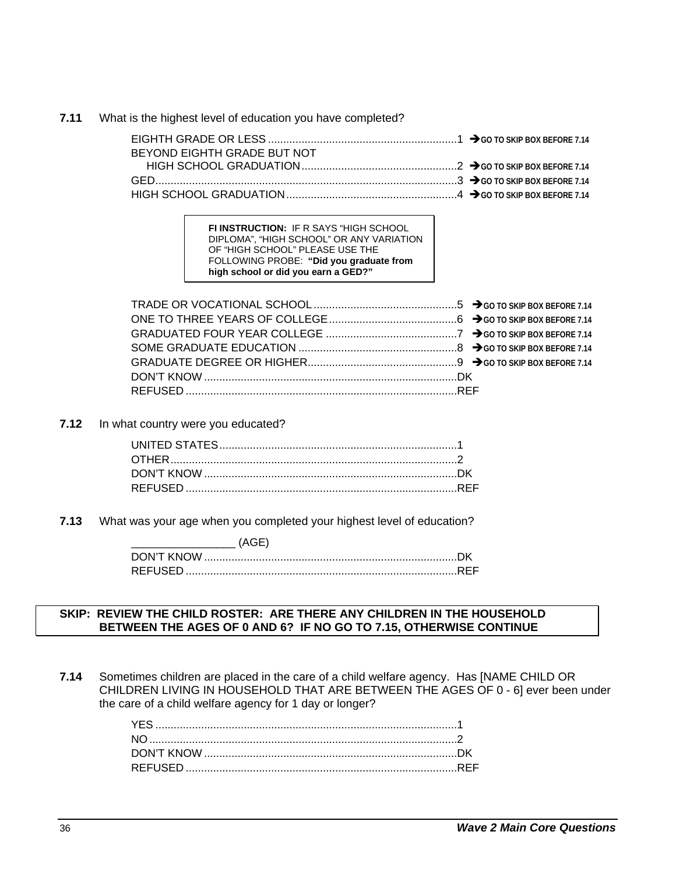**7.11** What is the highest level of education you have completed?

| BEYOND EIGHTH GRADE BUT NOT |  |
|-----------------------------|--|
|                             |  |
|                             |  |
|                             |  |

**FI INSTRUCTION:** IF R SAYS "HIGH SCHOOL DIPLOMA", "HIGH SCHOOL" OR ANY VARIATION OF "HIGH SCHOOL" PLEASE USE THE FOLLOWING PROBE: **"Did you graduate from high school or did you earn a GED?"** 

### **7.12** In what country were you educated?

### **7.13** What was your age when you completed your highest level of education?

## **SKIP: REVIEW THE CHILD ROSTER: ARE THERE ANY CHILDREN IN THE HOUSEHOLD BETWEEN THE AGES OF 0 AND 6? IF NO GO TO 7.15, OTHERWISE CONTINUE**

**7.14** Sometimes children are placed in the care of a child welfare agency. Has [NAME CHILD OR CHILDREN LIVING IN HOUSEHOLD THAT ARE BETWEEN THE AGES OF 0 - 6] ever been under the care of a child welfare agency for 1 day or longer?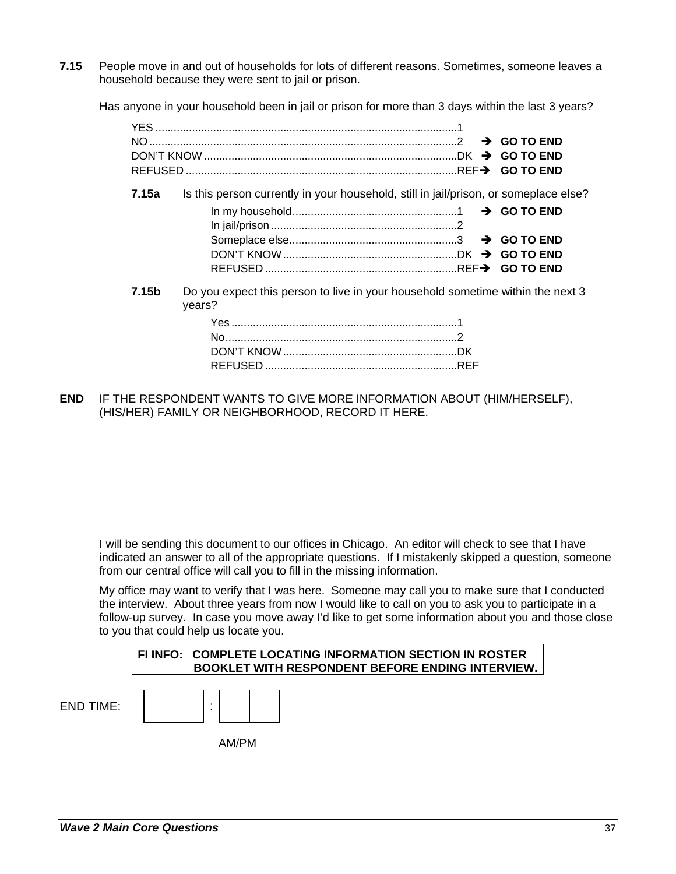$7.15$ People move in and out of households for lots of different reasons. Sometimes, someone leaves a household because they were sent to jail or prison.

Has anyone in your household been in jail or prison for more than 3 days within the last 3 years?

| 7.15a | Is this person currently in your household, still in jail/prison, or someplace else?     |  |
|-------|------------------------------------------------------------------------------------------|--|
| 7.15b | Do you expect this person to live in your household sometime within the next 3<br>years? |  |
|       |                                                                                          |  |

#### **END** IF THE RESPONDENT WANTS TO GIVE MORE INFORMATION ABOUT (HIM/HERSELF), (HIS/HER) FAMILY OR NEIGHBORHOOD, RECORD IT HERE.

I will be sending this document to our offices in Chicago. An editor will check to see that I have indicated an answer to all of the appropriate questions. If I mistakenly skipped a question, someone from our central office will call you to fill in the missing information.

My office may want to verify that I was here. Someone may call you to make sure that I conducted the interview. About three years from now I would like to call on you to ask you to participate in a follow-up survey. In case you move away I'd like to get some information about you and those close to you that could help us locate you.

|           | FI INFO: COMPLETE LOCATING INFORMATION SECTION IN ROSTER<br><b>BOOKLET WITH RESPONDENT BEFORE ENDING INTERVIEW.</b> |
|-----------|---------------------------------------------------------------------------------------------------------------------|
| END TIME: |                                                                                                                     |
|           | ΑΜ/ΡΜ                                                                                                               |